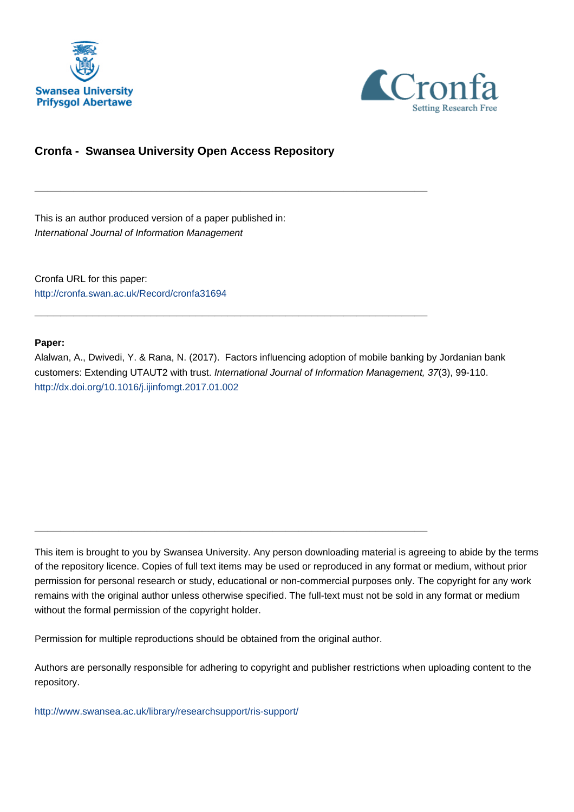



# **Cronfa - Swansea University Open Access Repository**

\_\_\_\_\_\_\_\_\_\_\_\_\_\_\_\_\_\_\_\_\_\_\_\_\_\_\_\_\_\_\_\_\_\_\_\_\_\_\_\_\_\_\_\_\_\_\_\_\_\_\_\_\_\_\_\_\_\_\_\_\_

\_\_\_\_\_\_\_\_\_\_\_\_\_\_\_\_\_\_\_\_\_\_\_\_\_\_\_\_\_\_\_\_\_\_\_\_\_\_\_\_\_\_\_\_\_\_\_\_\_\_\_\_\_\_\_\_\_\_\_\_\_

\_\_\_\_\_\_\_\_\_\_\_\_\_\_\_\_\_\_\_\_\_\_\_\_\_\_\_\_\_\_\_\_\_\_\_\_\_\_\_\_\_\_\_\_\_\_\_\_\_\_\_\_\_\_\_\_\_\_\_\_\_

This is an author produced version of a paper published in: International Journal of Information Management

Cronfa URL for this paper: <http://cronfa.swan.ac.uk/Record/cronfa31694>

### **Paper:**

Alalwan, A., Dwivedi, Y. & Rana, N. (2017). Factors influencing adoption of mobile banking by Jordanian bank customers: Extending UTAUT2 with trust. International Journal of Information Management, 37(3), 99-110. <http://dx.doi.org/10.1016/j.ijinfomgt.2017.01.002>

This item is brought to you by Swansea University. Any person downloading material is agreeing to abide by the terms of the repository licence. Copies of full text items may be used or reproduced in any format or medium, without prior permission for personal research or study, educational or non-commercial purposes only. The copyright for any work remains with the original author unless otherwise specified. The full-text must not be sold in any format or medium without the formal permission of the copyright holder.

Permission for multiple reproductions should be obtained from the original author.

Authors are personally responsible for adhering to copyright and publisher restrictions when uploading content to the repository.

[http://www.swansea.ac.uk/library/researchsupport/ris-support/](http://www.swansea.ac.uk/library/researchsupport/ris-support/ )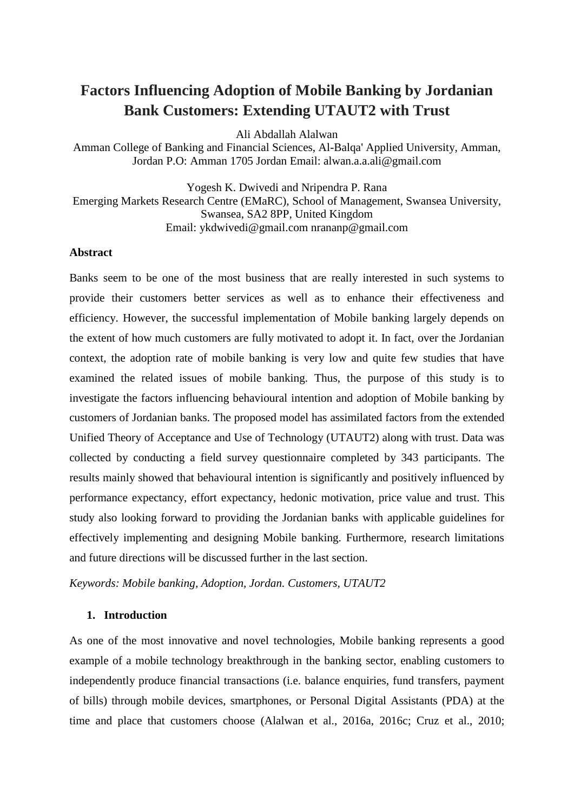# **Factors Influencing Adoption of Mobile Banking by Jordanian Bank Customers: Extending UTAUT2 with Trust**

Ali Abdallah Alalwan

Amman College of Banking and Financial Sciences, Al-Balqa' Applied University, Amman, Jordan P.O: Amman 1705 Jordan Email: alwan.a.a.ali@gmail.com

Yogesh K. Dwivedi and Nripendra P. Rana Emerging Markets Research Centre (EMaRC), School of Management, Swansea University, Swansea, SA2 8PP, United Kingdom Email: ykdwivedi@gmail.com nrananp@gmail.com

### **Abstract**

Banks seem to be one of the most business that are really interested in such systems to provide their customers better services as well as to enhance their effectiveness and efficiency. However, the successful implementation of Mobile banking largely depends on the extent of how much customers are fully motivated to adopt it. In fact, over the Jordanian context, the adoption rate of mobile banking is very low and quite few studies that have examined the related issues of mobile banking. Thus, the purpose of this study is to investigate the factors influencing behavioural intention and adoption of Mobile banking by customers of Jordanian banks. The proposed model has assimilated factors from the extended Unified Theory of Acceptance and Use of Technology (UTAUT2) along with trust. Data was collected by conducting a field survey questionnaire completed by 343 participants. The results mainly showed that behavioural intention is significantly and positively influenced by performance expectancy, effort expectancy, hedonic motivation, price value and trust. This study also looking forward to providing the Jordanian banks with applicable guidelines for effectively implementing and designing Mobile banking. Furthermore, research limitations and future directions will be discussed further in the last section.

*Keywords: Mobile banking, Adoption, Jordan. Customers, UTAUT2* 

### **1. Introduction**

As one of the most innovative and novel technologies, Mobile banking represents a good example of a mobile technology breakthrough in the banking sector, enabling customers to independently produce financial transactions (i.e. balance enquiries, fund transfers, payment of bills) through mobile devices, smartphones, or Personal Digital Assistants (PDA) at the time and place that customers choose (Alalwan et al., 2016a, 2016c; Cruz et al., 2010;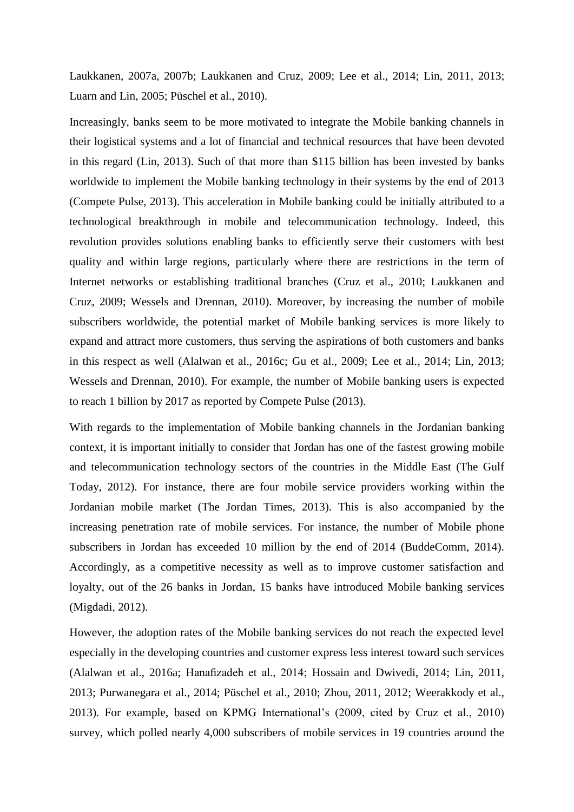Laukkanen, 2007a, 2007b; Laukkanen and Cruz, 2009; Lee et al., 2014; Lin, 2011, 2013; Luarn and Lin, 2005; Püschel et al., 2010).

Increasingly, banks seem to be more motivated to integrate the Mobile banking channels in their logistical systems and a lot of financial and technical resources that have been devoted in this regard (Lin, 2013). Such of that more than \$115 billion has been invested by banks worldwide to implement the Mobile banking technology in their systems by the end of 2013 (Compete Pulse, 2013). This acceleration in Mobile banking could be initially attributed to a technological breakthrough in mobile and telecommunication technology. Indeed, this revolution provides solutions enabling banks to efficiently serve their customers with best quality and within large regions, particularly where there are restrictions in the term of Internet networks or establishing traditional branches (Cruz et al., 2010; Laukkanen and Cruz, 2009; Wessels and Drennan, 2010). Moreover, by increasing the number of mobile subscribers worldwide, the potential market of Mobile banking services is more likely to expand and attract more customers, thus serving the aspirations of both customers and banks in this respect as well (Alalwan et al., 2016c; Gu et al., 2009; Lee et al., 2014; Lin, 2013; Wessels and Drennan, 2010). For example, the number of Mobile banking users is expected to reach 1 billion by 2017 as reported by Compete Pulse (2013).

With regards to the implementation of Mobile banking channels in the Jordanian banking context, it is important initially to consider that Jordan has one of the fastest growing mobile and telecommunication technology sectors of the countries in the Middle East (The Gulf Today, 2012). For instance, there are four mobile service providers working within the Jordanian mobile market (The Jordan Times, 2013). This is also accompanied by the increasing penetration rate of mobile services. For instance, the number of Mobile phone subscribers in Jordan has exceeded 10 million by the end of 2014 (BuddeComm, 2014). Accordingly, as a competitive necessity as well as to improve customer satisfaction and loyalty, out of the 26 banks in Jordan, 15 banks have introduced Mobile banking services (Migdadi, 2012).

However, the adoption rates of the Mobile banking services do not reach the expected level especially in the developing countries and customer express less interest toward such services (Alalwan et al., 2016a; Hanafizadeh et al., 2014; Hossain and Dwivedi, 2014; Lin, 2011, 2013; Purwanegara et al., 2014; Püschel et al., 2010; Zhou, 2011, 2012; Weerakkody et al., 2013). For example, based on KPMG International's (2009, cited by Cruz et al., 2010) survey, which polled nearly 4,000 subscribers of mobile services in 19 countries around the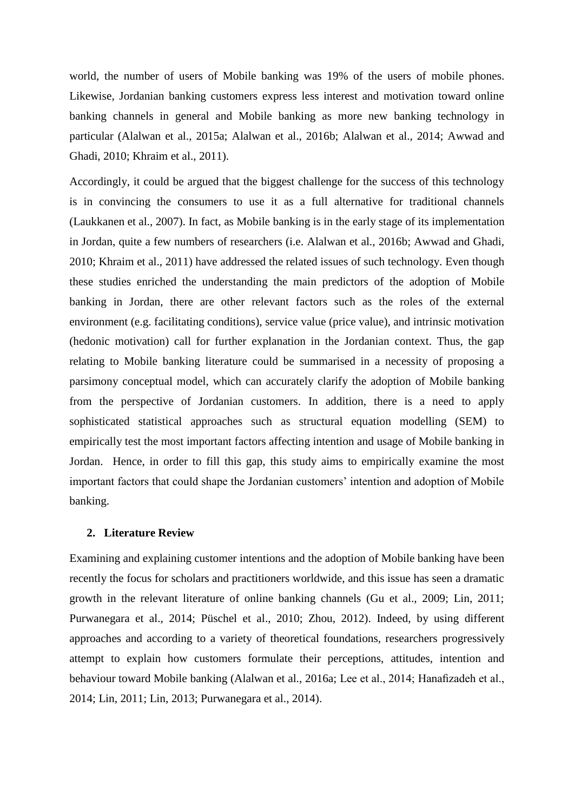world, the number of users of Mobile banking was 19% of the users of mobile phones. Likewise, Jordanian banking customers express less interest and motivation toward online banking channels in general and Mobile banking as more new banking technology in particular (Alalwan et al., 2015a; Alalwan et al., 2016b; Alalwan et al., 2014; Awwad and Ghadi, 2010; Khraim et al., 2011).

Accordingly, it could be argued that the biggest challenge for the success of this technology is in convincing the consumers to use it as a full alternative for traditional channels (Laukkanen et al., 2007). In fact, as Mobile banking is in the early stage of its implementation in Jordan, quite a few numbers of researchers (i.e. Alalwan et al., 2016b; Awwad and Ghadi, 2010; Khraim et al., 2011) have addressed the related issues of such technology. Even though these studies enriched the understanding the main predictors of the adoption of Mobile banking in Jordan, there are other relevant factors such as the roles of the external environment (e.g. facilitating conditions), service value (price value), and intrinsic motivation (hedonic motivation) call for further explanation in the Jordanian context. Thus, the gap relating to Mobile banking literature could be summarised in a necessity of proposing a parsimony conceptual model, which can accurately clarify the adoption of Mobile banking from the perspective of Jordanian customers. In addition, there is a need to apply sophisticated statistical approaches such as structural equation modelling (SEM) to empirically test the most important factors affecting intention and usage of Mobile banking in Jordan. Hence, in order to fill this gap, this study aims to empirically examine the most important factors that could shape the Jordanian customers' intention and adoption of Mobile banking.

#### **2. Literature Review**

Examining and explaining customer intentions and the adoption of Mobile banking have been recently the focus for scholars and practitioners worldwide, and this issue has seen a dramatic growth in the relevant literature of online banking channels (Gu et al., 2009; Lin, 2011; Purwanegara et al., 2014; Püschel et al., 2010; Zhou, 2012). Indeed, by using different approaches and according to a variety of theoretical foundations, researchers progressively attempt to explain how customers formulate their perceptions, attitudes, intention and behaviour toward Mobile banking (Alalwan et al., 2016a; Lee et al., 2014; Hanafizadeh et al., 2014; Lin, 2011; Lin, 2013; Purwanegara et al., 2014).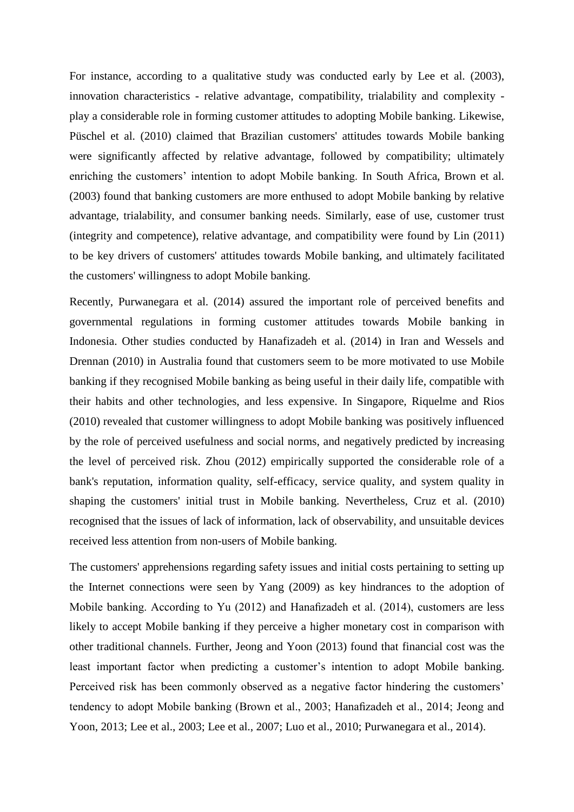For instance, according to a qualitative study was conducted early by Lee et al. (2003), innovation characteristics - relative advantage, compatibility, trialability and complexity play a considerable role in forming customer attitudes to adopting Mobile banking. Likewise, Püschel et al. (2010) claimed that Brazilian customers' attitudes towards Mobile banking were significantly affected by relative advantage, followed by compatibility; ultimately enriching the customers' intention to adopt Mobile banking. In South Africa, Brown et al. (2003) found that banking customers are more enthused to adopt Mobile banking by relative advantage, trialability, and consumer banking needs. Similarly, ease of use, customer trust (integrity and competence), relative advantage, and compatibility were found by Lin (2011) to be key drivers of customers' attitudes towards Mobile banking, and ultimately facilitated the customers' willingness to adopt Mobile banking.

Recently, Purwanegara et al. (2014) assured the important role of perceived benefits and governmental regulations in forming customer attitudes towards Mobile banking in Indonesia. Other studies conducted by Hanafizadeh et al. (2014) in Iran and Wessels and Drennan (2010) in Australia found that customers seem to be more motivated to use Mobile banking if they recognised Mobile banking as being useful in their daily life, compatible with their habits and other technologies, and less expensive. In Singapore, Riquelme and Rios (2010) revealed that customer willingness to adopt Mobile banking was positively influenced by the role of perceived usefulness and social norms, and negatively predicted by increasing the level of perceived risk. Zhou (2012) empirically supported the considerable role of a bank's reputation, information quality, self-efficacy, service quality, and system quality in shaping the customers' initial trust in Mobile banking. Nevertheless, Cruz et al. (2010) recognised that the issues of lack of information, lack of observability, and unsuitable devices received less attention from non-users of Mobile banking.

The customers' apprehensions regarding safety issues and initial costs pertaining to setting up the Internet connections were seen by Yang (2009) as key hindrances to the adoption of Mobile banking. According to Yu (2012) and Hanafizadeh et al. (2014), customers are less likely to accept Mobile banking if they perceive a higher monetary cost in comparison with other traditional channels. Further, Jeong and Yoon (2013) found that financial cost was the least important factor when predicting a customer's intention to adopt Mobile banking. Perceived risk has been commonly observed as a negative factor hindering the customers' tendency to adopt Mobile banking (Brown et al., 2003; Hanafizadeh et al., 2014; Jeong and Yoon, 2013; Lee et al., 2003; Lee et al., 2007; Luo et al., 2010; Purwanegara et al., 2014).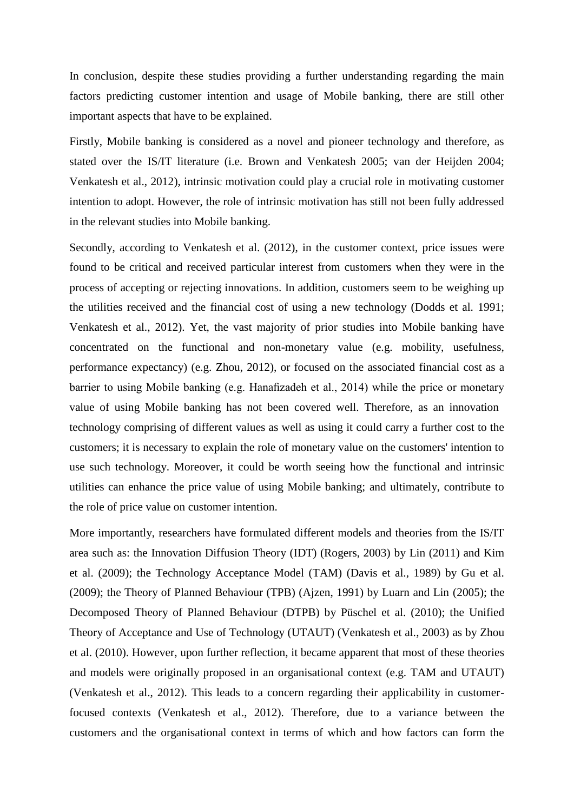In conclusion, despite these studies providing a further understanding regarding the main factors predicting customer intention and usage of Mobile banking, there are still other important aspects that have to be explained.

Firstly, Mobile banking is considered as a novel and pioneer technology and therefore, as stated over the IS/IT literature (i.e. Brown and Venkatesh 2005; van der Heijden 2004; Venkatesh et al., 2012), intrinsic motivation could play a crucial role in motivating customer intention to adopt. However, the role of intrinsic motivation has still not been fully addressed in the relevant studies into Mobile banking.

Secondly, according to Venkatesh et al. (2012), in the customer context, price issues were found to be critical and received particular interest from customers when they were in the process of accepting or rejecting innovations. In addition, customers seem to be weighing up the utilities received and the financial cost of using a new technology (Dodds et al. 1991; Venkatesh et al., 2012). Yet, the vast majority of prior studies into Mobile banking have concentrated on the functional and non-monetary value (e.g. mobility, usefulness, performance expectancy) (e.g. Zhou, 2012), or focused on the associated financial cost as a barrier to using Mobile banking (e.g. Hanafizadeh et al., 2014) while the price or monetary value of using Mobile banking has not been covered well. Therefore, as an innovation technology comprising of different values as well as using it could carry a further cost to the customers; it is necessary to explain the role of monetary value on the customers' intention to use such technology. Moreover, it could be worth seeing how the functional and intrinsic utilities can enhance the price value of using Mobile banking; and ultimately, contribute to the role of price value on customer intention.

More importantly, researchers have formulated different models and theories from the IS/IT area such as: the Innovation Diffusion Theory (IDT) (Rogers, 2003) by Lin (2011) and Kim et al. (2009); the Technology Acceptance Model (TAM) (Davis et al., 1989) by Gu et al. (2009); the Theory of Planned Behaviour (TPB) (Ajzen, 1991) by Luarn and Lin (2005); the Decomposed Theory of Planned Behaviour (DTPB) by Püschel et al. (2010); the Unified Theory of Acceptance and Use of Technology (UTAUT) (Venkatesh et al., 2003) as by Zhou et al. (2010). However, upon further reflection, it became apparent that most of these theories and models were originally proposed in an organisational context (e.g. TAM and UTAUT) (Venkatesh et al., 2012). This leads to a concern regarding their applicability in customerfocused contexts (Venkatesh et al., 2012). Therefore, due to a variance between the customers and the organisational context in terms of which and how factors can form the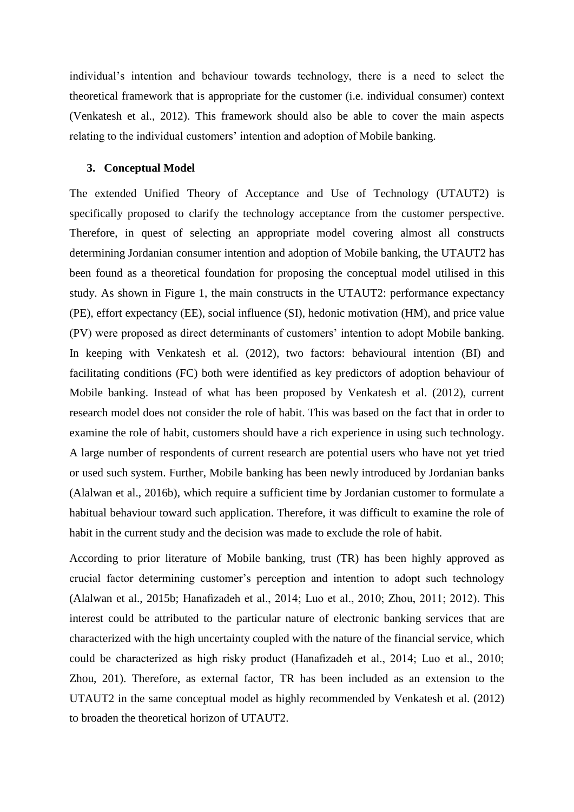individual's intention and behaviour towards technology, there is a need to select the theoretical framework that is appropriate for the customer (i.e. individual consumer) context (Venkatesh et al., 2012). This framework should also be able to cover the main aspects relating to the individual customers' intention and adoption of Mobile banking.

### **3. Conceptual Model**

The extended Unified Theory of Acceptance and Use of Technology (UTAUT2) is specifically proposed to clarify the technology acceptance from the customer perspective. Therefore, in quest of selecting an appropriate model covering almost all constructs determining Jordanian consumer intention and adoption of Mobile banking, the UTAUT2 has been found as a theoretical foundation for proposing the conceptual model utilised in this study. As shown in Figure 1, the main constructs in the UTAUT2: performance expectancy (PE), effort expectancy (EE), social influence (SI), hedonic motivation (HM), and price value (PV) were proposed as direct determinants of customers' intention to adopt Mobile banking. In keeping with Venkatesh et al. (2012), two factors: behavioural intention (BI) and facilitating conditions (FC) both were identified as key predictors of adoption behaviour of Mobile banking. Instead of what has been proposed by Venkatesh et al. (2012), current research model does not consider the role of habit. This was based on the fact that in order to examine the role of habit, customers should have a rich experience in using such technology. A large number of respondents of current research are potential users who have not yet tried or used such system. Further, Mobile banking has been newly introduced by Jordanian banks (Alalwan et al., 2016b), which require a sufficient time by Jordanian customer to formulate a habitual behaviour toward such application. Therefore, it was difficult to examine the role of habit in the current study and the decision was made to exclude the role of habit.

According to prior literature of Mobile banking, trust (TR) has been highly approved as crucial factor determining customer's perception and intention to adopt such technology (Alalwan et al., 2015b; Hanafizadeh et al., 2014; Luo et al., 2010; Zhou, 2011; 2012). This interest could be attributed to the particular nature of electronic banking services that are characterized with the high uncertainty coupled with the nature of the financial service, which could be characterized as high risky product (Hanafizadeh et al., 2014; Luo et al., 2010; Zhou, 201). Therefore, as external factor, TR has been included as an extension to the UTAUT2 in the same conceptual model as highly recommended by Venkatesh et al. (2012) to broaden the theoretical horizon of UTAUT2.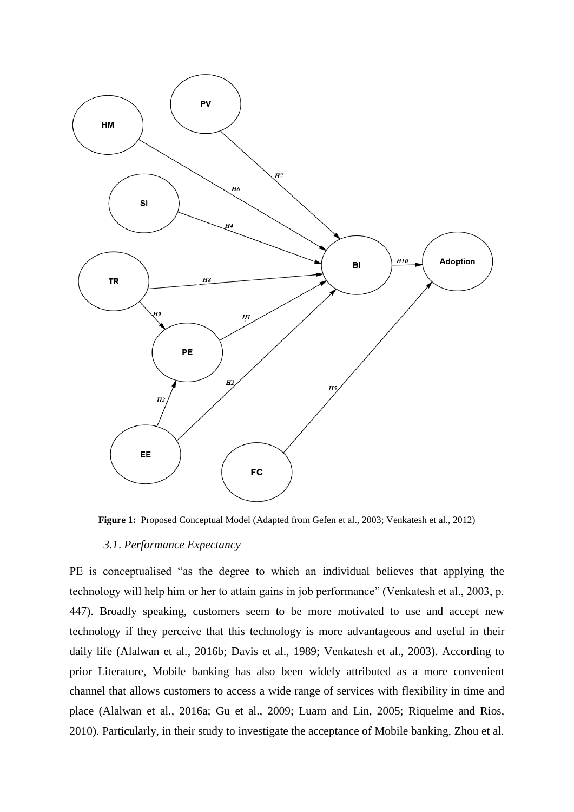

**Figure 1:** Proposed Conceptual Model (Adapted from Gefen et al., 2003; Venkatesh et al., 2012)

## *3.1*. *Performance Expectancy*

PE is conceptualised "as the degree to which an individual believes that applying the technology will help him or her to attain gains in job performance" (Venkatesh et al., 2003, p. 447). Broadly speaking, customers seem to be more motivated to use and accept new technology if they perceive that this technology is more advantageous and useful in their daily life (Alalwan et al., 2016b; Davis et al., 1989; Venkatesh et al., 2003). According to prior Literature, Mobile banking has also been widely attributed as a more convenient channel that allows customers to access a wide range of services with flexibility in time and place (Alalwan et al., 2016a; Gu et al., 2009; Luarn and Lin, 2005; Riquelme and Rios, 2010). Particularly, in their study to investigate the acceptance of Mobile banking, Zhou et al.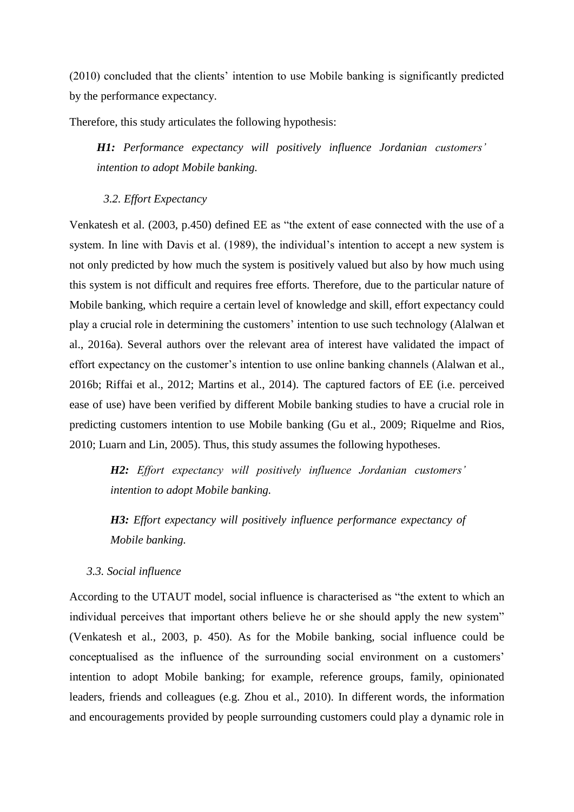(2010) concluded that the clients' intention to use Mobile banking is significantly predicted by the performance expectancy.

Therefore, this study articulates the following hypothesis:

*H1: Performance expectancy will positively influence Jordanian customers' intention to adopt Mobile banking.* 

*3.2. Effort Expectancy*

Venkatesh et al. (2003, p.450) defined EE as "the extent of ease connected with the use of a system. In line with Davis et al. (1989), the individual's intention to accept a new system is not only predicted by how much the system is positively valued but also by how much using this system is not difficult and requires free efforts. Therefore, due to the particular nature of Mobile banking, which require a certain level of knowledge and skill, effort expectancy could play a crucial role in determining the customers' intention to use such technology (Alalwan et al., 2016a). Several authors over the relevant area of interest have validated the impact of effort expectancy on the customer's intention to use online banking channels (Alalwan et al., 2016b; Riffai et al., 2012; Martins et al., 2014). The captured factors of EE (i.e. perceived ease of use) have been verified by different Mobile banking studies to have a crucial role in predicting customers intention to use Mobile banking (Gu et al., 2009; Riquelme and Rios, 2010; Luarn and Lin, 2005). Thus, this study assumes the following hypotheses.

*H2: Effort expectancy will positively influence Jordanian customers' intention to adopt Mobile banking.*

*H3: Effort expectancy will positively influence performance expectancy of Mobile banking.* 

### *3.3. Social influence*

According to the UTAUT model, social influence is characterised as "the extent to which an individual perceives that important others believe he or she should apply the new system" (Venkatesh et al., 2003, p. 450). As for the Mobile banking, social influence could be conceptualised as the influence of the surrounding social environment on a customers' intention to adopt Mobile banking; for example, reference groups, family, opinionated leaders, friends and colleagues (e.g. Zhou et al., 2010). In different words, the information and encouragements provided by people surrounding customers could play a dynamic role in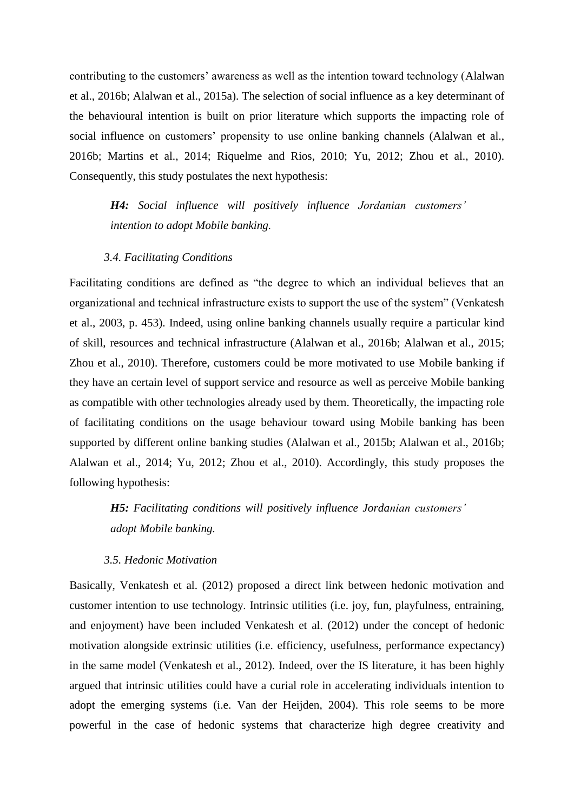contributing to the customers' awareness as well as the intention toward technology (Alalwan et al., 2016b; Alalwan et al., 2015a). The selection of social influence as a key determinant of the behavioural intention is built on prior literature which supports the impacting role of social influence on customers' propensity to use online banking channels (Alalwan et al., 2016b; Martins et al., 2014; Riquelme and Rios, 2010; Yu, 2012; Zhou et al., 2010). Consequently, this study postulates the next hypothesis:

*H4: Social influence will positively influence Jordanian customers' intention to adopt Mobile banking.*

### *3.4. Facilitating Conditions*

Facilitating conditions are defined as "the degree to which an individual believes that an organizational and technical infrastructure exists to support the use of the system" (Venkatesh et al., 2003, p. 453). Indeed, using online banking channels usually require a particular kind of skill, resources and technical infrastructure (Alalwan et al., 2016b; Alalwan et al., 2015; Zhou et al., 2010). Therefore, customers could be more motivated to use Mobile banking if they have an certain level of support service and resource as well as perceive Mobile banking as compatible with other technologies already used by them. Theoretically, the impacting role of facilitating conditions on the usage behaviour toward using Mobile banking has been supported by different online banking studies (Alalwan et al., 2015b; Alalwan et al., 2016b; Alalwan et al., 2014; Yu, 2012; Zhou et al., 2010). Accordingly, this study proposes the following hypothesis:

*H5: Facilitating conditions will positively influence Jordanian customers' adopt Mobile banking.*

### *3.5. Hedonic Motivation*

Basically, Venkatesh et al. (2012) proposed a direct link between hedonic motivation and customer intention to use technology. Intrinsic utilities (i.e. joy, fun, playfulness, entraining, and enjoyment) have been included Venkatesh et al. (2012) under the concept of hedonic motivation alongside extrinsic utilities (i.e. efficiency, usefulness, performance expectancy) in the same model (Venkatesh et al., 2012). Indeed, over the IS literature, it has been highly argued that intrinsic utilities could have a curial role in accelerating individuals intention to adopt the emerging systems (i.e. Van der Heijden, 2004). This role seems to be more powerful in the case of hedonic systems that characterize high degree creativity and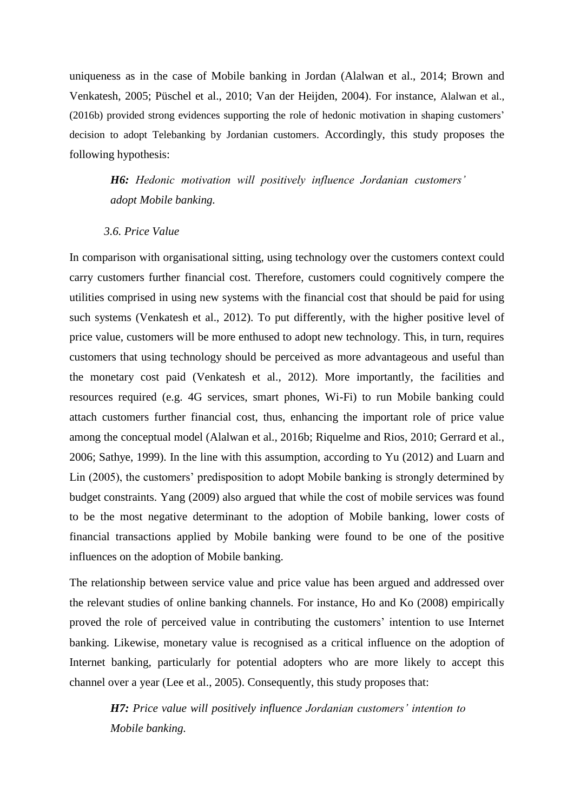uniqueness as in the case of Mobile banking in Jordan (Alalwan et al., 2014; Brown and Venkatesh, 2005; Püschel et al., 2010; Van der Heijden, 2004). For instance, Alalwan et al., (2016b) provided strong evidences supporting the role of hedonic motivation in shaping customers' decision to adopt Telebanking by Jordanian customers. Accordingly, this study proposes the following hypothesis:

*H6: Hedonic motivation will positively influence Jordanian customers' adopt Mobile banking.*

### *3.6. Price Value*

In comparison with organisational sitting, using technology over the customers context could carry customers further financial cost. Therefore, customers could cognitively compere the utilities comprised in using new systems with the financial cost that should be paid for using such systems (Venkatesh et al., 2012). To put differently, with the higher positive level of price value, customers will be more enthused to adopt new technology. This, in turn, requires customers that using technology should be perceived as more advantageous and useful than the monetary cost paid (Venkatesh et al., 2012). More importantly, the facilities and resources required (e.g. 4G services, smart phones, Wi-Fi) to run Mobile banking could attach customers further financial cost, thus, enhancing the important role of price value among the conceptual model (Alalwan et al., 2016b; Riquelme and Rios, 2010; Gerrard et al., 2006; Sathye, 1999). In the line with this assumption, according to Yu (2012) and Luarn and Lin (2005), the customers' predisposition to adopt Mobile banking is strongly determined by budget constraints. Yang (2009) also argued that while the cost of mobile services was found to be the most negative determinant to the adoption of Mobile banking, lower costs of financial transactions applied by Mobile banking were found to be one of the positive influences on the adoption of Mobile banking.

The relationship between service value and price value has been argued and addressed over the relevant studies of online banking channels. For instance, Ho and Ko (2008) empirically proved the role of perceived value in contributing the customers' intention to use Internet banking. Likewise, monetary value is recognised as a critical influence on the adoption of Internet banking, particularly for potential adopters who are more likely to accept this channel over a year (Lee et al., 2005). Consequently, this study proposes that:

*H7: Price value will positively influence Jordanian customers' intention to Mobile banking.*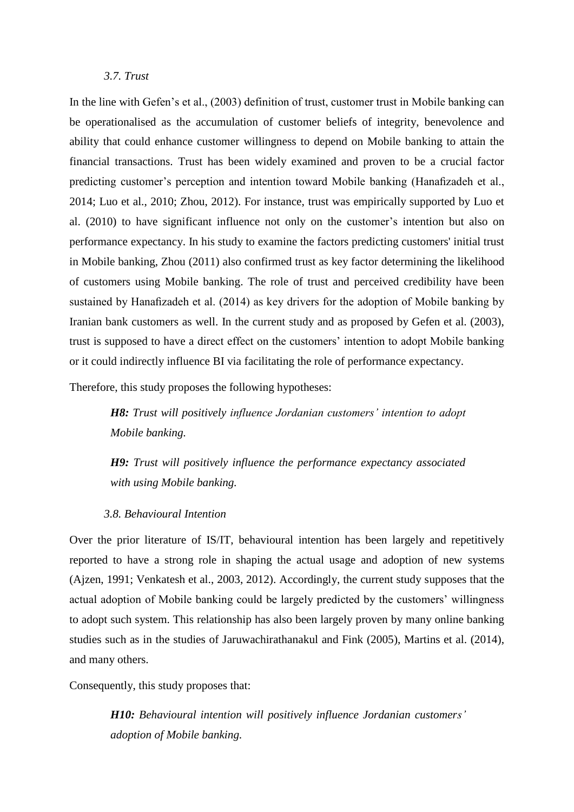### *3.7. Trust*

In the line with Gefen's et al., (2003) definition of trust, customer trust in Mobile banking can be operationalised as the accumulation of customer beliefs of integrity, benevolence and ability that could enhance customer willingness to depend on Mobile banking to attain the financial transactions. Trust has been widely examined and proven to be a crucial factor predicting customer's perception and intention toward Mobile banking (Hanafizadeh et al., 2014; Luo et al., 2010; Zhou, 2012). For instance, trust was empirically supported by Luo et al. (2010) to have significant influence not only on the customer's intention but also on performance expectancy. In his study to examine the factors predicting customers' initial trust in Mobile banking, Zhou (2011) also confirmed trust as key factor determining the likelihood of customers using Mobile banking. The role of trust and perceived credibility have been sustained by Hanafizadeh et al. (2014) as key drivers for the adoption of Mobile banking by Iranian bank customers as well. In the current study and as proposed by Gefen et al. (2003), trust is supposed to have a direct effect on the customers' intention to adopt Mobile banking or it could indirectly influence BI via facilitating the role of performance expectancy.

Therefore, this study proposes the following hypotheses:

*H8: Trust will positively influence Jordanian customers' intention to adopt Mobile banking.*

*H9: Trust will positively influence the performance expectancy associated with using Mobile banking.*

### *3.8. Behavioural Intention*

Over the prior literature of IS/IT, behavioural intention has been largely and repetitively reported to have a strong role in shaping the actual usage and adoption of new systems (Ajzen, 1991; Venkatesh et al., 2003, 2012). Accordingly, the current study supposes that the actual adoption of Mobile banking could be largely predicted by the customers' willingness to adopt such system. This relationship has also been largely proven by many online banking studies such as in the studies of Jaruwachirathanakul and Fink (2005), Martins et al. (2014), and many others.

Consequently, this study proposes that:

*H10: Behavioural intention will positively influence Jordanian customers' adoption of Mobile banking.*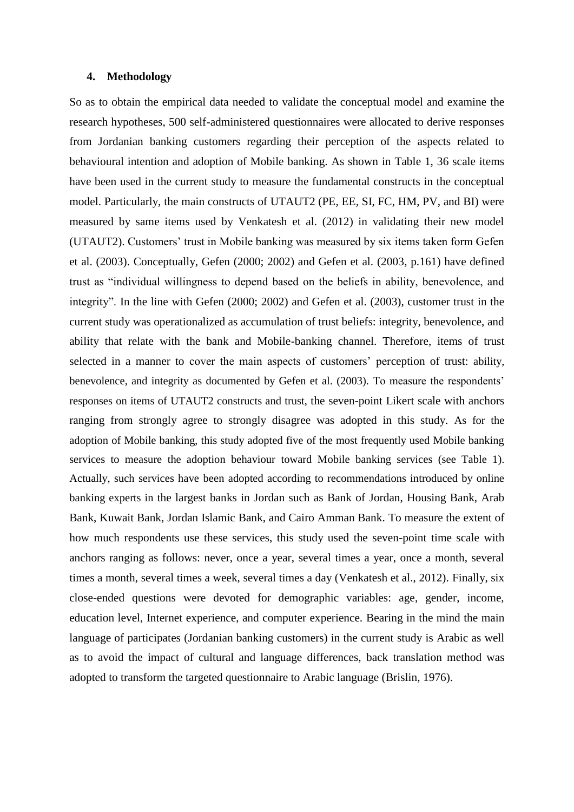### **4. Methodology**

So as to obtain the empirical data needed to validate the conceptual model and examine the research hypotheses, 500 self-administered questionnaires were allocated to derive responses from Jordanian banking customers regarding their perception of the aspects related to behavioural intention and adoption of Mobile banking. As shown in Table 1, 36 scale items have been used in the current study to measure the fundamental constructs in the conceptual model. Particularly, the main constructs of UTAUT2 (PE, EE, SI, FC, HM, PV, and BI) were measured by same items used by Venkatesh et al. (2012) in validating their new model (UTAUT2). Customers' trust in Mobile banking was measured by six items taken form Gefen et al. (2003). Conceptually, Gefen (2000; 2002) and Gefen et al. (2003, p.161) have defined trust as "individual willingness to depend based on the beliefs in ability, benevolence, and integrity". In the line with Gefen (2000; 2002) and Gefen et al. (2003), customer trust in the current study was operationalized as accumulation of trust beliefs: integrity, benevolence, and ability that relate with the bank and Mobile-banking channel. Therefore, items of trust selected in a manner to cover the main aspects of customers' perception of trust: ability, benevolence, and integrity as documented by Gefen et al. (2003). To measure the respondents' responses on items of UTAUT2 constructs and trust, the seven-point Likert scale with anchors ranging from strongly agree to strongly disagree was adopted in this study. As for the adoption of Mobile banking, this study adopted five of the most frequently used Mobile banking services to measure the adoption behaviour toward Mobile banking services (see Table 1). Actually, such services have been adopted according to recommendations introduced by online banking experts in the largest banks in Jordan such as Bank of Jordan, Housing Bank, Arab Bank, Kuwait Bank, Jordan Islamic Bank, and Cairo Amman Bank. To measure the extent of how much respondents use these services, this study used the seven-point time scale with anchors ranging as follows: never, once a year, several times a year, once a month, several times a month, several times a week, several times a day (Venkatesh et al., 2012). Finally, six close-ended questions were devoted for demographic variables: age, gender, income, education level, Internet experience, and computer experience. Bearing in the mind the main language of participates (Jordanian banking customers) in the current study is Arabic as well as to avoid the impact of cultural and language differences, back translation method was adopted to transform the targeted questionnaire to Arabic language (Brislin, 1976).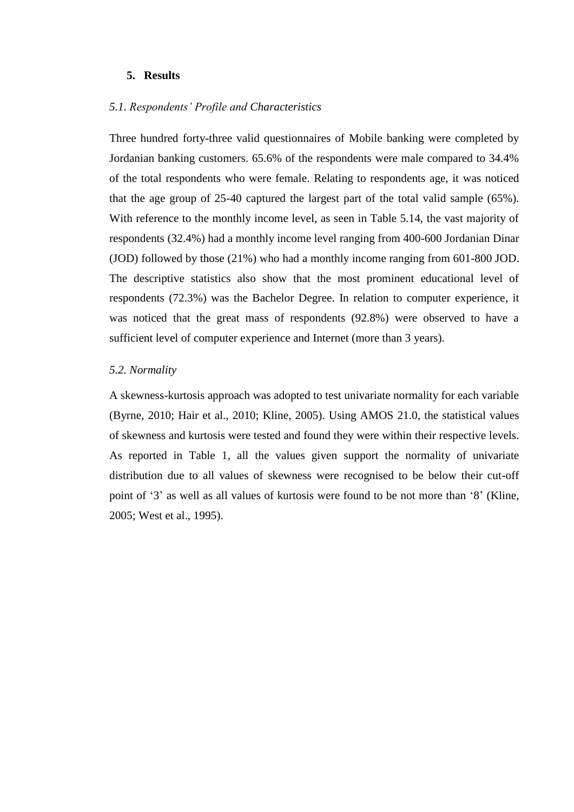### **5. Results**

### *5.1. Respondents' Profile and Characteristics*

Three hundred forty-three valid questionnaires of Mobile banking were completed by Jordanian banking customers. 65.6% of the respondents were male compared to 34.4% of the total respondents who were female. Relating to respondents age, it was noticed that the age group of 25-40 captured the largest part of the total valid sample (65%). With reference to the monthly income level, as seen in Table 5.14, the vast majority of respondents (32.4%) had a monthly income level ranging from 400-600 Jordanian Dinar (JOD) followed by those (21%) who had a monthly income ranging from 601-800 JOD. The descriptive statistics also show that the most prominent educational level of respondents (72.3%) was the Bachelor Degree. In relation to computer experience, it was noticed that the great mass of respondents (92.8%) were observed to have a sufficient level of computer experience and Internet (more than 3 years).

### *5.2. Normality*

A skewness-kurtosis approach was adopted to test univariate normality for each variable (Byrne, 2010; Hair et al., 2010; Kline, 2005). Using AMOS 21.0, the statistical values of skewness and kurtosis were tested and found they were within their respective levels. As reported in Table 1, all the values given support the normality of univariate distribution due to all values of skewness were recognised to be below their cut-off point of '3' as well as all values of kurtosis were found to be not more than '8' (Kline, 2005; West et al., 1995).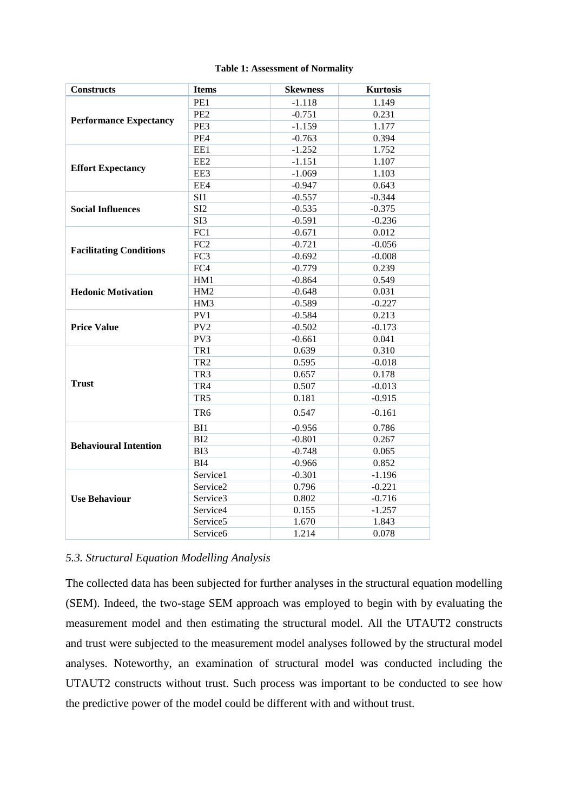|  | <b>Table 1: Assessment of Normality</b> |
|--|-----------------------------------------|
|  |                                         |

| <b>Constructs</b>              | <b>Items</b>    | <b>Skewness</b> | <b>Kurtosis</b> |
|--------------------------------|-----------------|-----------------|-----------------|
|                                | PE1             | $-1.118$        | 1.149           |
|                                | PE <sub>2</sub> | $-0.751$        | 0.231           |
| <b>Performance Expectancy</b>  | PE3             | $-1.159$        | 1.177           |
|                                | PE4             | $-0.763$        | 0.394           |
|                                | EE1             | $-1.252$        | 1.752           |
|                                | EE <sub>2</sub> | $-1.151$        | 1.107           |
| <b>Effort Expectancy</b>       | EE3             | $-1.069$        | 1.103           |
|                                | EE4             | $-0.947$        | 0.643           |
|                                | SI1             | $-0.557$        | $-0.344$        |
| <b>Social Influences</b>       | SI <sub>2</sub> | $-0.535$        | $-0.375$        |
|                                | SI3             | $-0.591$        | $-0.236$        |
|                                | FC1             | $-0.671$        | 0.012           |
| <b>Facilitating Conditions</b> | FC <sub>2</sub> | $-0.721$        | $-0.056$        |
|                                | FC3             | $-0.692$        | $-0.008$        |
|                                | FC4             | $-0.779$        | 0.239           |
|                                | HM1             | $-0.864$        | 0.549           |
| <b>Hedonic Motivation</b>      | HM <sub>2</sub> | $-0.648$        | 0.031           |
|                                | HM3             | $-0.589$        | $-0.227$        |
|                                | PV1             | $-0.584$        | 0.213           |
| <b>Price Value</b>             | PV <sub>2</sub> | $-0.502$        | $-0.173$        |
|                                | PV3             | $-0.661$        | 0.041           |
|                                | TR1             | 0.639           | 0.310           |
|                                | TR <sub>2</sub> | 0.595           | $-0.018$        |
|                                | TR <sub>3</sub> | 0.657           | 0.178           |
| <b>Trust</b>                   | TR4             | 0.507           | $-0.013$        |
|                                | TR <sub>5</sub> | 0.181           | $-0.915$        |
|                                | TR <sub>6</sub> | 0.547           | $-0.161$        |
|                                | BI1             | $-0.956$        | 0.786           |
|                                | B <sub>12</sub> | $-0.801$        | 0.267           |
| <b>Behavioural Intention</b>   | BI3             | $-0.748$        | 0.065           |
|                                | BI4             | $-0.966$        | 0.852           |
|                                | Service1        | $-0.301$        | $-1.196$        |
|                                | Service2        | 0.796           | $-0.221$        |
| <b>Use Behaviour</b>           | Service3        | 0.802           | $-0.716$        |
|                                | Service4        | 0.155           | $-1.257$        |
|                                | Service5        | 1.670           | 1.843           |
|                                | Service6        | 1.214           | 0.078           |

# *5.3. Structural Equation Modelling Analysis*

The collected data has been subjected for further analyses in the structural equation modelling (SEM). Indeed, the two-stage SEM approach was employed to begin with by evaluating the measurement model and then estimating the structural model. All the UTAUT2 constructs and trust were subjected to the measurement model analyses followed by the structural model analyses. Noteworthy, an examination of structural model was conducted including the UTAUT2 constructs without trust. Such process was important to be conducted to see how the predictive power of the model could be different with and without trust.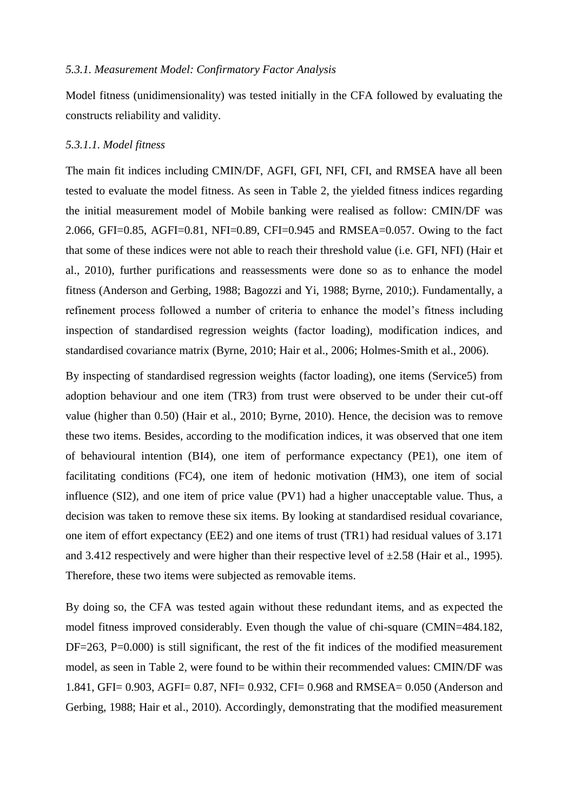## *5.3.1. Measurement Model: Confirmatory Factor Analysis*

Model fitness (unidimensionality) was tested initially in the CFA followed by evaluating the constructs reliability and validity.

### *5.3.1.1. Model fitness*

The main fit indices including CMIN/DF, AGFI, GFI, NFI, CFI, and RMSEA have all been tested to evaluate the model fitness. As seen in Table 2, the yielded fitness indices regarding the initial measurement model of Mobile banking were realised as follow: CMIN/DF was 2.066, GFI=0.85, AGFI=0.81, NFI=0.89, CFI=0.945 and RMSEA=0.057. Owing to the fact that some of these indices were not able to reach their threshold value (i.e. GFI, NFI) (Hair et al., 2010), further purifications and reassessments were done so as to enhance the model fitness (Anderson and Gerbing, 1988; Bagozzi and Yi, 1988; Byrne, 2010;). Fundamentally, a refinement process followed a number of criteria to enhance the model's fitness including inspection of standardised regression weights (factor loading), modification indices, and standardised covariance matrix (Byrne, 2010; Hair et al., 2006; Holmes-Smith et al., 2006).

By inspecting of standardised regression weights (factor loading), one items (Service5) from adoption behaviour and one item (TR3) from trust were observed to be under their cut-off value (higher than 0.50) (Hair et al., 2010; Byrne, 2010). Hence, the decision was to remove these two items. Besides, according to the modification indices, it was observed that one item of behavioural intention (BI4), one item of performance expectancy (PE1), one item of facilitating conditions (FC4), one item of hedonic motivation (HM3), one item of social influence (SI2), and one item of price value (PV1) had a higher unacceptable value. Thus, a decision was taken to remove these six items. By looking at standardised residual covariance, one item of effort expectancy (EE2) and one items of trust (TR1) had residual values of 3.171 and 3.412 respectively and were higher than their respective level of  $\pm 2.58$  (Hair et al., 1995). Therefore, these two items were subjected as removable items.

By doing so, the CFA was tested again without these redundant items, and as expected the model fitness improved considerably. Even though the value of chi-square (CMIN=484.182, DF=263, P=0.000) is still significant, the rest of the fit indices of the modified measurement model, as seen in Table 2, were found to be within their recommended values: CMIN/DF was 1.841, GFI= 0.903, AGFI= 0.87, NFI= 0.932, CFI= 0.968 and RMSEA= 0.050 (Anderson and Gerbing, 1988; Hair et al., 2010). Accordingly, demonstrating that the modified measurement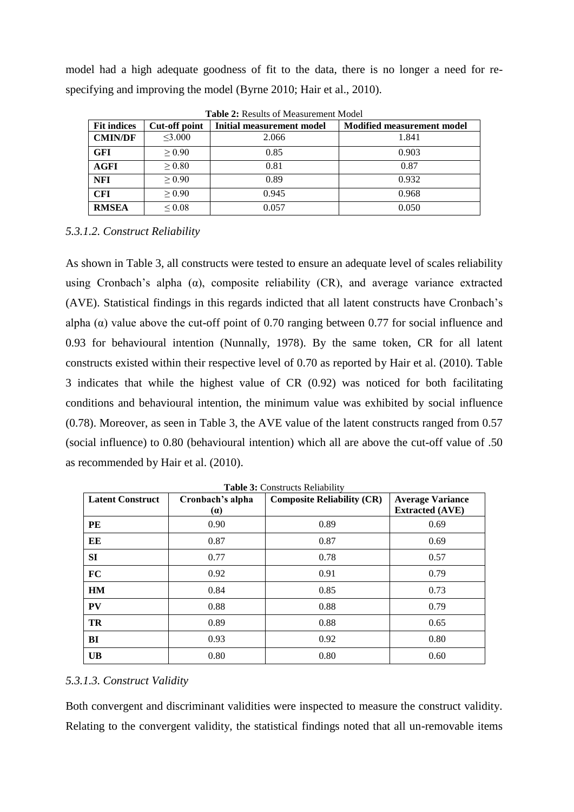model had a high adequate goodness of fit to the data, there is no longer a need for respecifying and improving the model (Byrne 2010; Hair et al., 2010).

|                    |               | <b>TUDIC SI IN</b> OUND OF MORGHOMOTH, MOUCH |                                   |
|--------------------|---------------|----------------------------------------------|-----------------------------------|
| <b>Fit indices</b> | Cut-off point | Initial measurement model                    | <b>Modified measurement model</b> |
| <b>CMIN/DF</b>     | $<$ 3.000     | 2.066                                        | 1.841                             |
| <b>GFI</b>         | > 0.90        | 0.85                                         | 0.903                             |
| <b>AGFI</b>        | > 0.80        | 0.81                                         | 0.87                              |
| <b>NFI</b>         | > 0.90        | 0.89                                         | 0.932                             |
| <b>CFI</b>         | > 0.90        | 0.945                                        | 0.968                             |
| <b>RMSEA</b>       | ${}_{0.08}$   | 0.057                                        | 0.050                             |

**Table 2:** Results of Measurement Model

# *5.3.1.2. Construct Reliability*

As shown in Table 3, all constructs were tested to ensure an adequate level of scales reliability using Cronbach's alpha ( $\alpha$ ), composite reliability (CR), and average variance extracted (AVE). Statistical findings in this regards indicted that all latent constructs have Cronbach's alpha ( $\alpha$ ) value above the cut-off point of 0.70 ranging between 0.77 for social influence and 0.93 for behavioural intention (Nunnally, 1978). By the same token, CR for all latent constructs existed within their respective level of 0.70 as reported by Hair et al. (2010). Table 3 indicates that while the highest value of CR (0.92) was noticed for both facilitating conditions and behavioural intention, the minimum value was exhibited by social influence (0.78). Moreover, as seen in Table 3, the AVE value of the latent constructs ranged from 0.57 (social influence) to 0.80 (behavioural intention) which all are above the cut-off value of .50 as recommended by Hair et al. (2010).

| <b>Latent Construct</b> | Cronbach's alpha | <b>Composite Reliability (CR)</b> | <b>Average Variance</b> |
|-------------------------|------------------|-----------------------------------|-------------------------|
|                         | (a)              |                                   | <b>Extracted (AVE)</b>  |
| PE                      | 0.90             | 0.89                              | 0.69                    |
| EE                      | 0.87             | 0.87                              | 0.69                    |
| SI                      | 0.77             | 0.78                              | 0.57                    |
| FC                      | 0.92             | 0.91                              | 0.79                    |
| HM                      | 0.84             | 0.85                              | 0.73                    |
| PV                      | 0.88             | 0.88                              | 0.79                    |
| <b>TR</b>               | 0.89             | 0.88                              | 0.65                    |
| BI                      | 0.93             | 0.92                              | 0.80                    |
| <b>UB</b>               | 0.80             | 0.80                              | 0.60                    |

**Table 3:** Constructs Reliability

# *5.3.1.3. Construct Validity*

Both convergent and discriminant validities were inspected to measure the construct validity. Relating to the convergent validity, the statistical findings noted that all un-removable items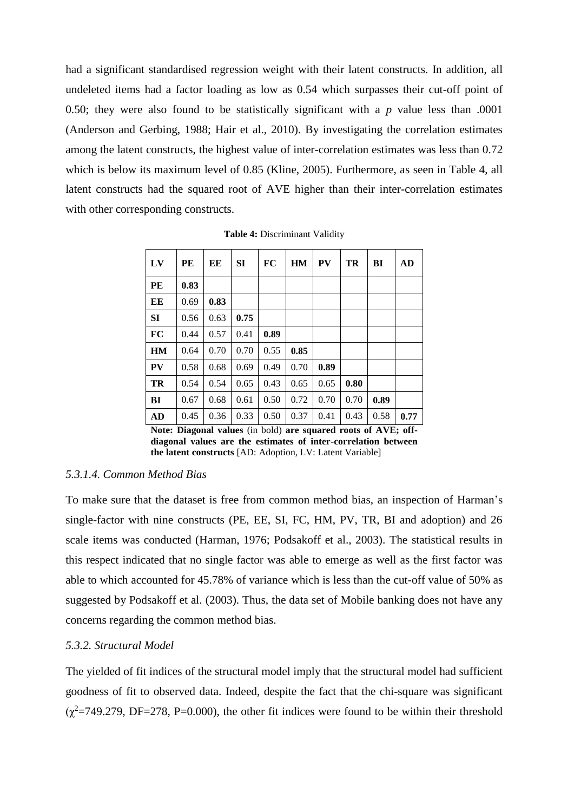had a significant standardised regression weight with their latent constructs. In addition, all undeleted items had a factor loading as low as 0.54 which surpasses their cut-off point of 0.50; they were also found to be statistically significant with a *p* value less than .0001 (Anderson and Gerbing, 1988; Hair et al., 2010). By investigating the correlation estimates among the latent constructs, the highest value of inter-correlation estimates was less than 0.72 which is below its maximum level of 0.85 (Kline, 2005). Furthermore, as seen in Table 4, all latent constructs had the squared root of AVE higher than their inter-correlation estimates with other corresponding constructs.

| LV        | PE   | EE   | <b>SI</b> | FC   | HM   | PV   | TR   | BI   | AD   |
|-----------|------|------|-----------|------|------|------|------|------|------|
| PE        | 0.83 |      |           |      |      |      |      |      |      |
| EE        | 0.69 | 0.83 |           |      |      |      |      |      |      |
| SI        | 0.56 | 0.63 | 0.75      |      |      |      |      |      |      |
| <b>FC</b> | 0.44 | 0.57 | 0.41      | 0.89 |      |      |      |      |      |
| HM        | 0.64 | 0.70 | 0.70      | 0.55 | 0.85 |      |      |      |      |
| <b>PV</b> | 0.58 | 0.68 | 0.69      | 0.49 | 0.70 | 0.89 |      |      |      |
| TR        | 0.54 | 0.54 | 0.65      | 0.43 | 0.65 | 0.65 | 0.80 |      |      |
| BI        | 0.67 | 0.68 | 0.61      | 0.50 | 0.72 | 0.70 | 0.70 | 0.89 |      |
| AD        | 0.45 | 0.36 | 0.33      | 0.50 | 0.37 | 0.41 | 0.43 | 0.58 | 0.77 |

**Table 4:** Discriminant Validity

**Note: Diagonal values** (in bold) **are squared roots of AVE; offdiagonal values are the estimates of inter-correlation between the latent constructs** [AD: Adoption, LV: Latent Variable]

### *5.3.1.4. Common Method Bias*

To make sure that the dataset is free from common method bias, an inspection of Harman's single-factor with nine constructs (PE, EE, SI, FC, HM, PV, TR, BI and adoption) and 26 scale items was conducted (Harman, 1976; Podsakoff et al., 2003). The statistical results in this respect indicated that no single factor was able to emerge as well as the first factor was able to which accounted for 45.78% of variance which is less than the cut-off value of 50% as suggested by Podsakoff et al. (2003). Thus, the data set of Mobile banking does not have any concerns regarding the common method bias.

### *5.3.2. Structural Model*

The yielded of fit indices of the structural model imply that the structural model had sufficient goodness of fit to observed data. Indeed, despite the fact that the chi-square was significant  $(\chi^2=749.279, \text{DF}=278, \text{P}=0.000)$ , the other fit indices were found to be within their threshold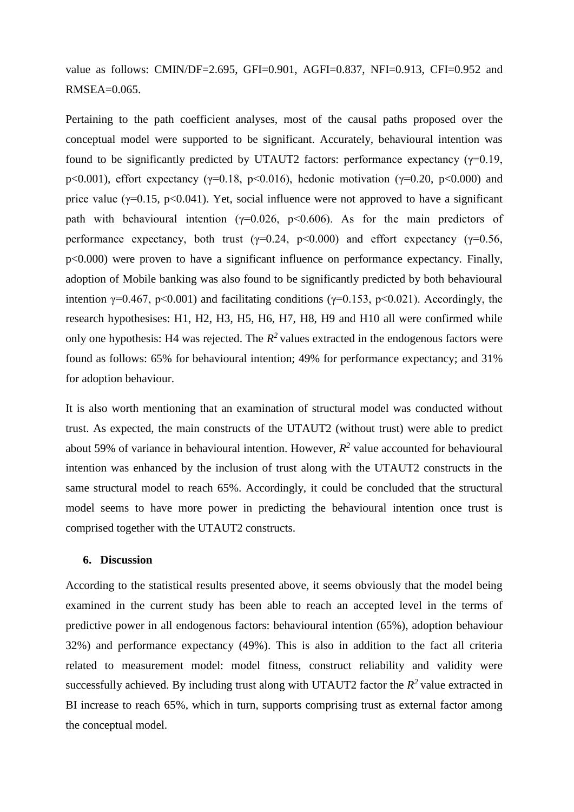value as follows: CMIN/DF=2.695, GFI=0.901, AGFI=0.837, NFI=0.913, CFI=0.952 and  $RMSEA=0.065$ .

Pertaining to the path coefficient analyses, most of the causal paths proposed over the conceptual model were supported to be significant. Accurately, behavioural intention was found to be significantly predicted by UTAUT2 factors: performance expectancy  $(\gamma=0.19, \gamma=0.19)$ p<0.001), effort expectancy ( $\gamma$ =0.18, p<0.016), hedonic motivation ( $\gamma$ =0.20, p<0.000) and price value ( $\gamma$ =0.15, p<0.041). Yet, social influence were not approved to have a significant path with behavioural intention ( $\gamma$ =0.026, p<0.606). As for the main predictors of performance expectancy, both trust ( $\gamma$ =0.24, p<0.000) and effort expectancy ( $\gamma$ =0.56, p<0.000) were proven to have a significant influence on performance expectancy. Finally, adoption of Mobile banking was also found to be significantly predicted by both behavioural intention  $\gamma=0.467$ , p<0.001) and facilitating conditions ( $\gamma=0.153$ , p<0.021). Accordingly, the research hypothesises: H1, H2, H3, H5, H6, H7, H8, H9 and H10 all were confirmed while only one hypothesis: H4 was rejected. The  $R^2$  values extracted in the endogenous factors were found as follows: 65% for behavioural intention; 49% for performance expectancy; and 31% for adoption behaviour.

It is also worth mentioning that an examination of structural model was conducted without trust. As expected, the main constructs of the UTAUT2 (without trust) were able to predict about 59% of variance in behavioural intention. However,  $R^2$  value accounted for behavioural intention was enhanced by the inclusion of trust along with the UTAUT2 constructs in the same structural model to reach 65%. Accordingly, it could be concluded that the structural model seems to have more power in predicting the behavioural intention once trust is comprised together with the UTAUT2 constructs.

### **6. Discussion**

According to the statistical results presented above, it seems obviously that the model being examined in the current study has been able to reach an accepted level in the terms of predictive power in all endogenous factors: behavioural intention (65%), adoption behaviour 32%) and performance expectancy (49%). This is also in addition to the fact all criteria related to measurement model: model fitness, construct reliability and validity were successfully achieved. By including trust along with UTAUT2 factor the  $R^2$  value extracted in BI increase to reach 65%, which in turn, supports comprising trust as external factor among the conceptual model.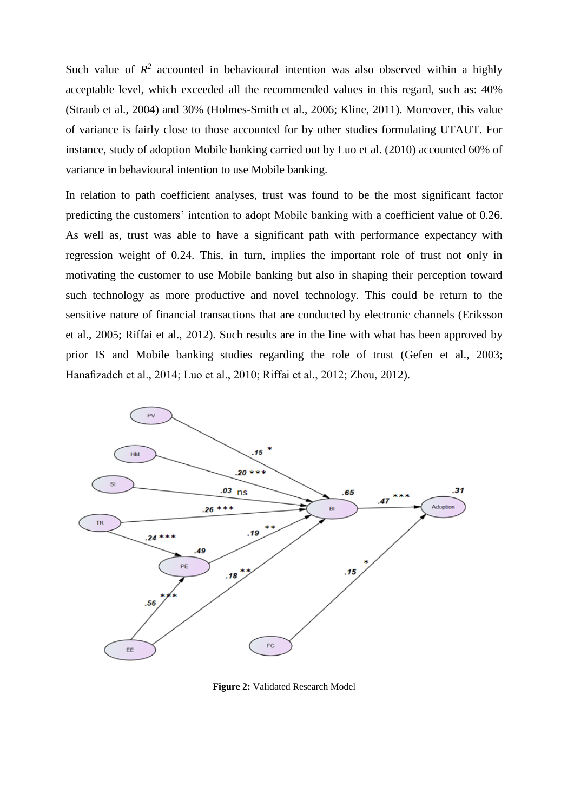Such value of  $R^2$  accounted in behavioural intention was also observed within a highly acceptable level, which exceeded all the recommended values in this regard, such as: 40% (Straub et al., 2004) and 30% (Holmes-Smith et al., 2006; Kline, 2011). Moreover, this value of variance is fairly close to those accounted for by other studies formulating UTAUT. For instance, study of adoption Mobile banking carried out by Luo et al. (2010) accounted 60% of variance in behavioural intention to use Mobile banking.

In relation to path coefficient analyses, trust was found to be the most significant factor predicting the customers' intention to adopt Mobile banking with a coefficient value of 0.26. As well as, trust was able to have a significant path with performance expectancy with regression weight of 0.24. This, in turn, implies the important role of trust not only in motivating the customer to use Mobile banking but also in shaping their perception toward such technology as more productive and novel technology. This could be return to the sensitive nature of financial transactions that are conducted by electronic channels (Eriksson et al., 2005; Riffai et al., 2012). Such results are in the line with what has been approved by prior IS and Mobile banking studies regarding the role of trust (Gefen et al., 2003; Hanafizadeh et al., 2014; Luo et al., 2010; Riffai et al., 2012; Zhou, 2012).



**Figure 2:** Validated Research Model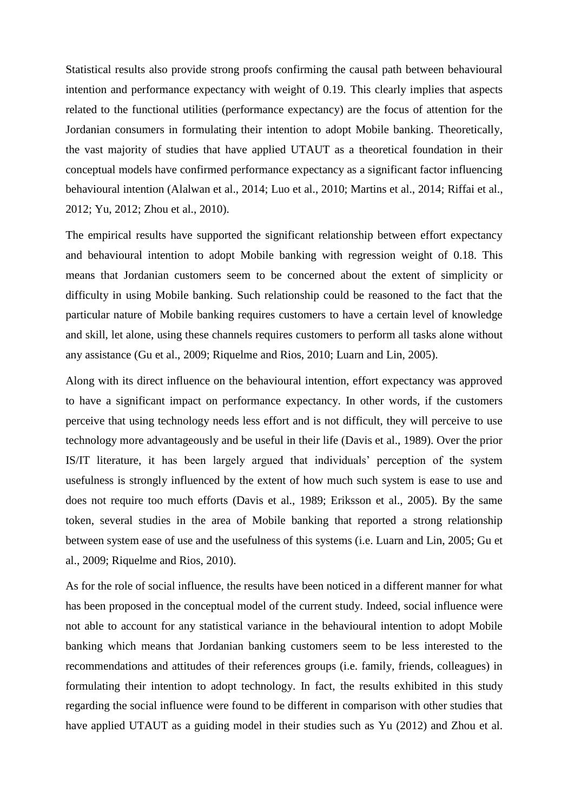Statistical results also provide strong proofs confirming the causal path between behavioural intention and performance expectancy with weight of 0.19. This clearly implies that aspects related to the functional utilities (performance expectancy) are the focus of attention for the Jordanian consumers in formulating their intention to adopt Mobile banking. Theoretically, the vast majority of studies that have applied UTAUT as a theoretical foundation in their conceptual models have confirmed performance expectancy as a significant factor influencing behavioural intention (Alalwan et al., 2014; Luo et al., 2010; Martins et al., 2014; Riffai et al., 2012; Yu, 2012; Zhou et al., 2010).

The empirical results have supported the significant relationship between effort expectancy and behavioural intention to adopt Mobile banking with regression weight of 0.18. This means that Jordanian customers seem to be concerned about the extent of simplicity or difficulty in using Mobile banking. Such relationship could be reasoned to the fact that the particular nature of Mobile banking requires customers to have a certain level of knowledge and skill, let alone, using these channels requires customers to perform all tasks alone without any assistance (Gu et al., 2009; Riquelme and Rios, 2010; Luarn and Lin, 2005).

Along with its direct influence on the behavioural intention, effort expectancy was approved to have a significant impact on performance expectancy. In other words, if the customers perceive that using technology needs less effort and is not difficult, they will perceive to use technology more advantageously and be useful in their life (Davis et al., 1989). Over the prior IS/IT literature, it has been largely argued that individuals' perception of the system usefulness is strongly influenced by the extent of how much such system is ease to use and does not require too much efforts (Davis et al., 1989; Eriksson et al., 2005). By the same token, several studies in the area of Mobile banking that reported a strong relationship between system ease of use and the usefulness of this systems (i.e. Luarn and Lin, 2005; Gu et al., 2009; Riquelme and Rios, 2010).

As for the role of social influence, the results have been noticed in a different manner for what has been proposed in the conceptual model of the current study. Indeed, social influence were not able to account for any statistical variance in the behavioural intention to adopt Mobile banking which means that Jordanian banking customers seem to be less interested to the recommendations and attitudes of their references groups (i.e. family, friends, colleagues) in formulating their intention to adopt technology. In fact, the results exhibited in this study regarding the social influence were found to be different in comparison with other studies that have applied UTAUT as a guiding model in their studies such as Yu (2012) and Zhou et al.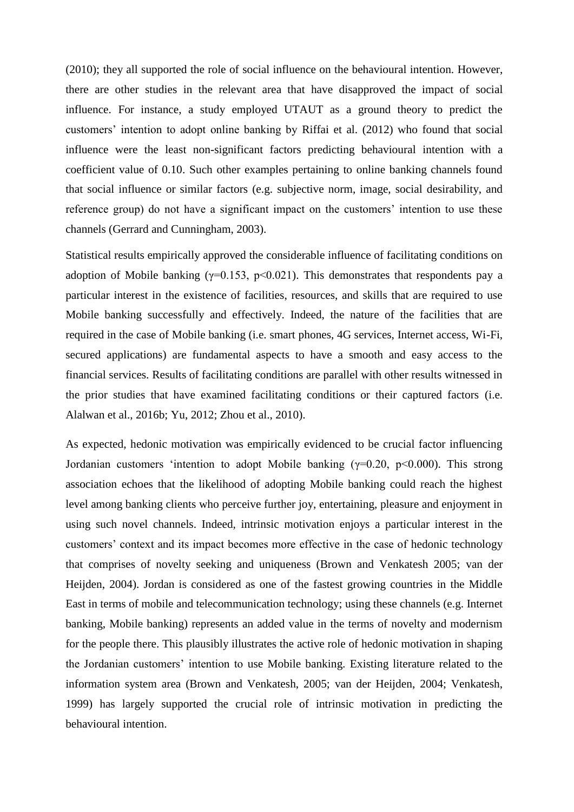(2010); they all supported the role of social influence on the behavioural intention. However, there are other studies in the relevant area that have disapproved the impact of social influence. For instance, a study employed UTAUT as a ground theory to predict the customers' intention to adopt online banking by Riffai et al. (2012) who found that social influence were the least non-significant factors predicting behavioural intention with a coefficient value of 0.10. Such other examples pertaining to online banking channels found that social influence or similar factors (e.g. subjective norm, image, social desirability, and reference group) do not have a significant impact on the customers' intention to use these channels (Gerrard and Cunningham, 2003).

Statistical results empirically approved the considerable influence of facilitating conditions on adoption of Mobile banking ( $\gamma$ =0.153, p<0.021). This demonstrates that respondents pay a particular interest in the existence of facilities, resources, and skills that are required to use Mobile banking successfully and effectively. Indeed, the nature of the facilities that are required in the case of Mobile banking (i.e. smart phones, 4G services, Internet access, Wi-Fi, secured applications) are fundamental aspects to have a smooth and easy access to the financial services. Results of facilitating conditions are parallel with other results witnessed in the prior studies that have examined facilitating conditions or their captured factors (i.e. Alalwan et al., 2016b; Yu, 2012; Zhou et al., 2010).

As expected, hedonic motivation was empirically evidenced to be crucial factor influencing Jordanian customers 'intention to adopt Mobile banking ( $\gamma$ =0.20, p<0.000). This strong association echoes that the likelihood of adopting Mobile banking could reach the highest level among banking clients who perceive further joy, entertaining, pleasure and enjoyment in using such novel channels. Indeed, intrinsic motivation enjoys a particular interest in the customers' context and its impact becomes more effective in the case of hedonic technology that comprises of novelty seeking and uniqueness (Brown and Venkatesh 2005; van der Heijden, 2004). Jordan is considered as one of the fastest growing countries in the Middle East in terms of mobile and telecommunication technology; using these channels (e.g. Internet banking, Mobile banking) represents an added value in the terms of novelty and modernism for the people there. This plausibly illustrates the active role of hedonic motivation in shaping the Jordanian customers' intention to use Mobile banking. Existing literature related to the information system area (Brown and Venkatesh, 2005; van der Heijden, 2004; Venkatesh, 1999) has largely supported the crucial role of intrinsic motivation in predicting the behavioural intention.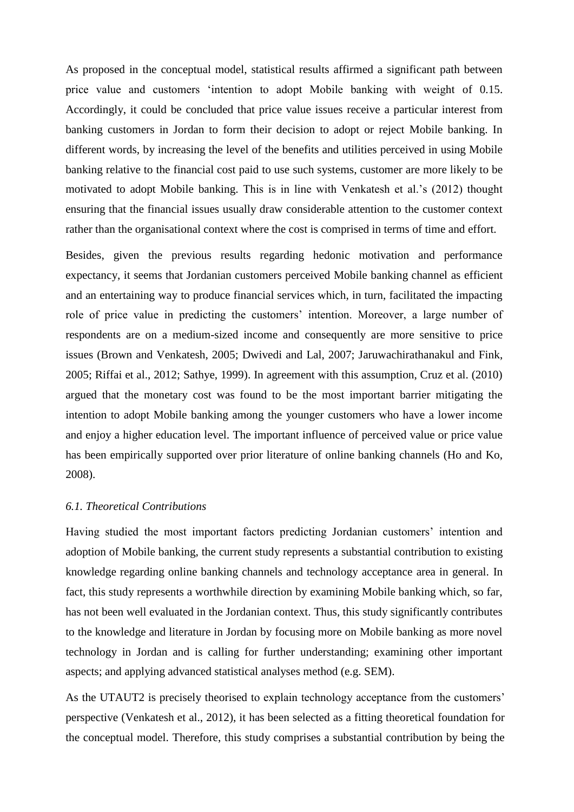As proposed in the conceptual model, statistical results affirmed a significant path between price value and customers 'intention to adopt Mobile banking with weight of 0.15. Accordingly, it could be concluded that price value issues receive a particular interest from banking customers in Jordan to form their decision to adopt or reject Mobile banking. In different words, by increasing the level of the benefits and utilities perceived in using Mobile banking relative to the financial cost paid to use such systems, customer are more likely to be motivated to adopt Mobile banking. This is in line with Venkatesh et al.'s (2012) thought ensuring that the financial issues usually draw considerable attention to the customer context rather than the organisational context where the cost is comprised in terms of time and effort.

Besides, given the previous results regarding hedonic motivation and performance expectancy, it seems that Jordanian customers perceived Mobile banking channel as efficient and an entertaining way to produce financial services which, in turn, facilitated the impacting role of price value in predicting the customers' intention. Moreover, a large number of respondents are on a medium-sized income and consequently are more sensitive to price issues (Brown and Venkatesh, 2005; Dwivedi and Lal, 2007; Jaruwachirathanakul and Fink, 2005; Riffai et al., 2012; Sathye, 1999). In agreement with this assumption, Cruz et al. (2010) argued that the monetary cost was found to be the most important barrier mitigating the intention to adopt Mobile banking among the younger customers who have a lower income and enjoy a higher education level. The important influence of perceived value or price value has been empirically supported over prior literature of online banking channels (Ho and Ko, 2008).

## *6.1. Theoretical Contributions*

Having studied the most important factors predicting Jordanian customers' intention and adoption of Mobile banking, the current study represents a substantial contribution to existing knowledge regarding online banking channels and technology acceptance area in general. In fact, this study represents a worthwhile direction by examining Mobile banking which, so far, has not been well evaluated in the Jordanian context. Thus, this study significantly contributes to the knowledge and literature in Jordan by focusing more on Mobile banking as more novel technology in Jordan and is calling for further understanding; examining other important aspects; and applying advanced statistical analyses method (e.g. SEM).

As the UTAUT2 is precisely theorised to explain technology acceptance from the customers' perspective (Venkatesh et al., 2012), it has been selected as a fitting theoretical foundation for the conceptual model. Therefore, this study comprises a substantial contribution by being the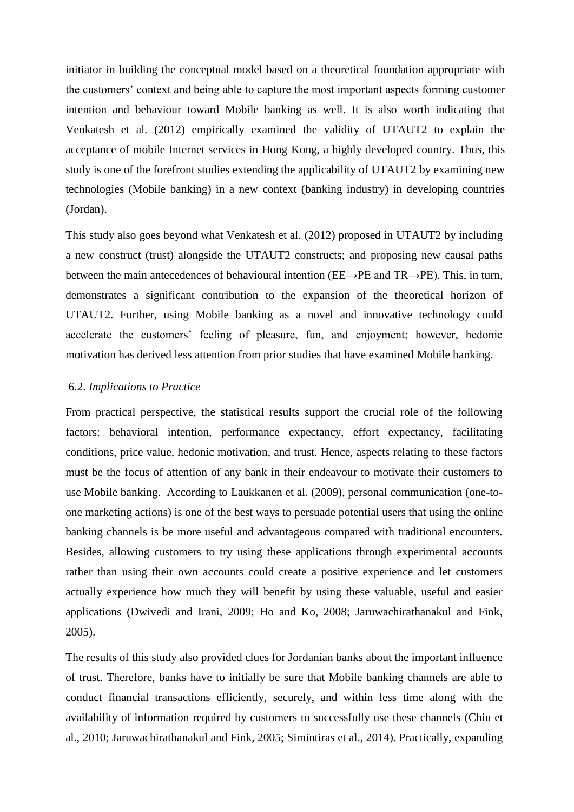initiator in building the conceptual model based on a theoretical foundation appropriate with the customers' context and being able to capture the most important aspects forming customer intention and behaviour toward Mobile banking as well. It is also worth indicating that Venkatesh et al. (2012) empirically examined the validity of UTAUT2 to explain the acceptance of mobile Internet services in Hong Kong, a highly developed country. Thus, this study is one of the forefront studies extending the applicability of UTAUT2 by examining new technologies (Mobile banking) in a new context (banking industry) in developing countries (Jordan).

This study also goes beyond what Venkatesh et al. (2012) proposed in UTAUT2 by including a new construct (trust) alongside the UTAUT2 constructs; and proposing new causal paths between the main antecedences of behavioural intention (EE→PE and TR→PE). This, in turn, demonstrates a significant contribution to the expansion of the theoretical horizon of UTAUT2. Further, using Mobile banking as a novel and innovative technology could accelerate the customers' feeling of pleasure, fun, and enjoyment; however, hedonic motivation has derived less attention from prior studies that have examined Mobile banking.

### 6.2. *Implications to Practice*

From practical perspective, the statistical results support the crucial role of the following factors: behavioral intention, performance expectancy, effort expectancy, facilitating conditions, price value, hedonic motivation, and trust. Hence, aspects relating to these factors must be the focus of attention of any bank in their endeavour to motivate their customers to use Mobile banking. According to Laukkanen et al. (2009), personal communication (one-toone marketing actions) is one of the best ways to persuade potential users that using the online banking channels is be more useful and advantageous compared with traditional encounters. Besides, allowing customers to try using these applications through experimental accounts rather than using their own accounts could create a positive experience and let customers actually experience how much they will benefit by using these valuable, useful and easier applications (Dwivedi and Irani, 2009; Ho and Ko, 2008; Jaruwachirathanakul and Fink, 2005).

The results of this study also provided clues for Jordanian banks about the important influence of trust. Therefore, banks have to initially be sure that Mobile banking channels are able to conduct financial transactions efficiently, securely, and within less time along with the availability of information required by customers to successfully use these channels (Chiu et al., 2010; Jaruwachirathanakul and Fink, 2005; Simintiras et al., 2014). Practically, expanding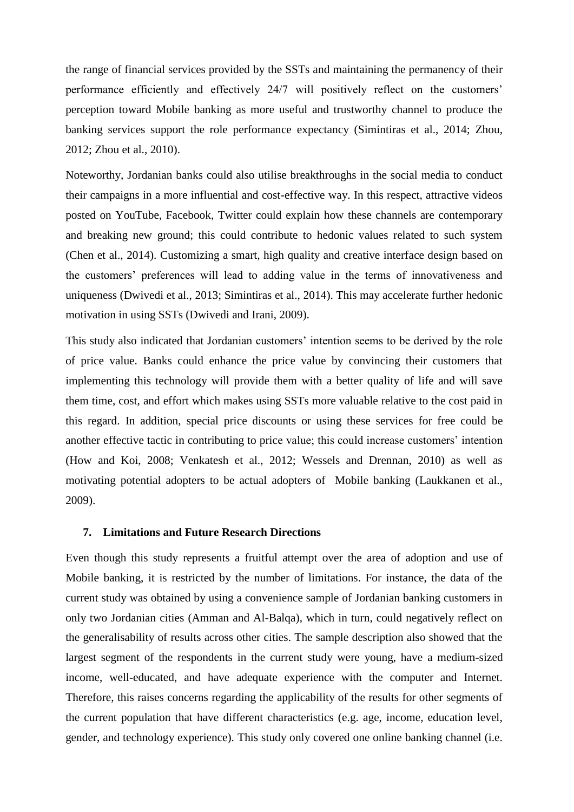the range of financial services provided by the SSTs and maintaining the permanency of their performance efficiently and effectively 24/7 will positively reflect on the customers' perception toward Mobile banking as more useful and trustworthy channel to produce the banking services support the role performance expectancy (Simintiras et al., 2014; Zhou, 2012; Zhou et al., 2010).

Noteworthy, Jordanian banks could also utilise breakthroughs in the social media to conduct their campaigns in a more influential and cost-effective way. In this respect, attractive videos posted on YouTube, Facebook, Twitter could explain how these channels are contemporary and breaking new ground; this could contribute to hedonic values related to such system (Chen et al., 2014). Customizing a smart, high quality and creative interface design based on the customers' preferences will lead to adding value in the terms of innovativeness and uniqueness (Dwivedi et al., 2013; Simintiras et al., 2014). This may accelerate further hedonic motivation in using SSTs (Dwivedi and Irani, 2009).

This study also indicated that Jordanian customers' intention seems to be derived by the role of price value. Banks could enhance the price value by convincing their customers that implementing this technology will provide them with a better quality of life and will save them time, cost, and effort which makes using SSTs more valuable relative to the cost paid in this regard. In addition, special price discounts or using these services for free could be another effective tactic in contributing to price value; this could increase customers' intention (How and Koi, 2008; Venkatesh et al., 2012; Wessels and Drennan, 2010) as well as motivating potential adopters to be actual adopters of Mobile banking (Laukkanen et al., 2009).

### **7. Limitations and Future Research Directions**

Even though this study represents a fruitful attempt over the area of adoption and use of Mobile banking, it is restricted by the number of limitations. For instance, the data of the current study was obtained by using a convenience sample of Jordanian banking customers in only two Jordanian cities (Amman and Al-Balqa), which in turn, could negatively reflect on the generalisability of results across other cities. The sample description also showed that the largest segment of the respondents in the current study were young, have a medium-sized income, well-educated, and have adequate experience with the computer and Internet. Therefore, this raises concerns regarding the applicability of the results for other segments of the current population that have different characteristics (e.g. age, income, education level, gender, and technology experience). This study only covered one online banking channel (i.e.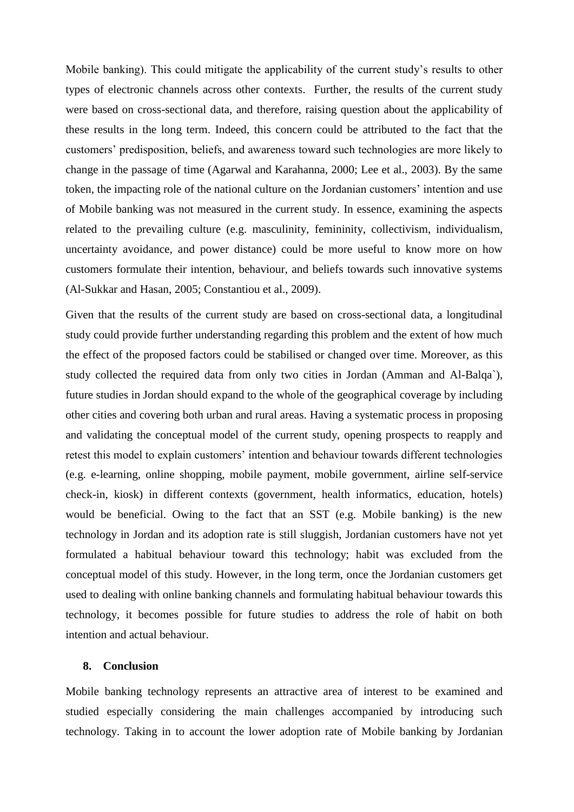Mobile banking). This could mitigate the applicability of the current study's results to other types of electronic channels across other contexts. Further, the results of the current study were based on cross-sectional data, and therefore, raising question about the applicability of these results in the long term. Indeed, this concern could be attributed to the fact that the customers' predisposition, beliefs, and awareness toward such technologies are more likely to change in the passage of time (Agarwal and Karahanna, 2000; Lee et al., 2003). By the same token, the impacting role of the national culture on the Jordanian customers' intention and use of Mobile banking was not measured in the current study. In essence, examining the aspects related to the prevailing culture (e.g. masculinity, femininity, collectivism, individualism, uncertainty avoidance, and power distance) could be more useful to know more on how customers formulate their intention, behaviour, and beliefs towards such innovative systems (Al-Sukkar and Hasan, 2005; Constantiou et al., 2009).

Given that the results of the current study are based on cross-sectional data, a longitudinal study could provide further understanding regarding this problem and the extent of how much the effect of the proposed factors could be stabilised or changed over time. Moreover, as this study collected the required data from only two cities in Jordan (Amman and Al-Balqa`), future studies in Jordan should expand to the whole of the geographical coverage by including other cities and covering both urban and rural areas. Having a systematic process in proposing and validating the conceptual model of the current study, opening prospects to reapply and retest this model to explain customers' intention and behaviour towards different technologies (e.g. e-learning, online shopping, mobile payment, mobile government, airline self-service check-in, kiosk) in different contexts (government, health informatics, education, hotels) would be beneficial. Owing to the fact that an SST (e.g. Mobile banking) is the new technology in Jordan and its adoption rate is still sluggish, Jordanian customers have not yet formulated a habitual behaviour toward this technology; habit was excluded from the conceptual model of this study. However, in the long term, once the Jordanian customers get used to dealing with online banking channels and formulating habitual behaviour towards this technology, it becomes possible for future studies to address the role of habit on both intention and actual behaviour.

### **8. Conclusion**

Mobile banking technology represents an attractive area of interest to be examined and studied especially considering the main challenges accompanied by introducing such technology. Taking in to account the lower adoption rate of Mobile banking by Jordanian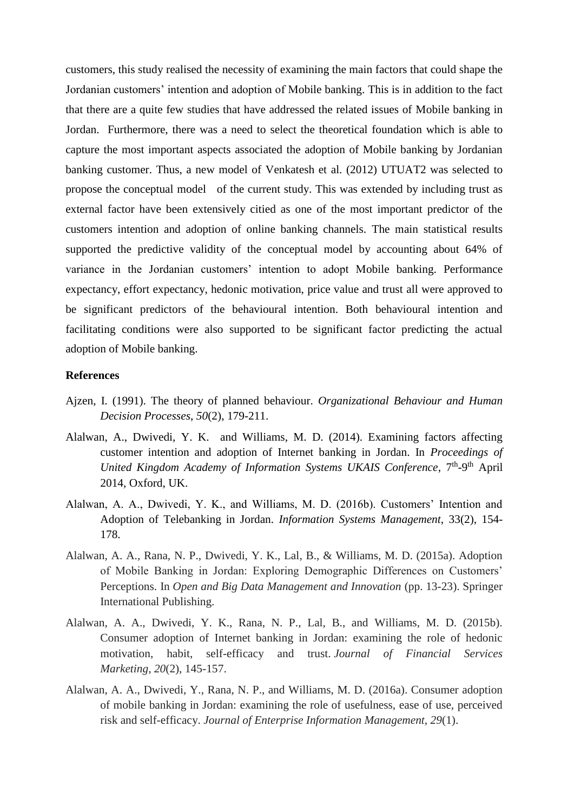customers, this study realised the necessity of examining the main factors that could shape the Jordanian customers' intention and adoption of Mobile banking. This is in addition to the fact that there are a quite few studies that have addressed the related issues of Mobile banking in Jordan. Furthermore, there was a need to select the theoretical foundation which is able to capture the most important aspects associated the adoption of Mobile banking by Jordanian banking customer. Thus, a new model of Venkatesh et al. (2012) UTUAT2 was selected to propose the conceptual model of the current study. This was extended by including trust as external factor have been extensively citied as one of the most important predictor of the customers intention and adoption of online banking channels. The main statistical results supported the predictive validity of the conceptual model by accounting about 64% of variance in the Jordanian customers' intention to adopt Mobile banking. Performance expectancy, effort expectancy, hedonic motivation, price value and trust all were approved to be significant predictors of the behavioural intention. Both behavioural intention and facilitating conditions were also supported to be significant factor predicting the actual adoption of Mobile banking.

## **References**

- Ajzen, I. (1991). The theory of planned behaviour. *Organizational Behaviour and Human Decision Processes*, *50*(2), 179-211.
- Alalwan, A., Dwivedi, Y. K. and Williams, M. D. (2014). Examining factors affecting customer intention and adoption of Internet banking in Jordan. In *Proceedings of*  United Kingdom Academy of Information Systems UKAIS Conference, 7<sup>th</sup>-9<sup>th</sup> April 2014, Oxford, UK.
- Alalwan, A. A., Dwivedi, Y. K., and Williams, M. D. (2016b). Customers' Intention and Adoption of Telebanking in Jordan. *Information Systems Management*, 33(2), 154- 178.
- Alalwan, A. A., Rana, N. P., Dwivedi, Y. K., Lal, B., & Williams, M. D. (2015a). Adoption of Mobile Banking in Jordan: Exploring Demographic Differences on Customers' Perceptions. In *Open and Big Data Management and Innovation* (pp. 13-23). Springer International Publishing.
- Alalwan, A. A., Dwivedi, Y. K., Rana, N. P., Lal, B., and Williams, M. D. (2015b). Consumer adoption of Internet banking in Jordan: examining the role of hedonic motivation, habit, self-efficacy and trust. *Journal of Financial Services Marketing*, *20*(2), 145-157.
- Alalwan, A. A., Dwivedi, Y., Rana, N. P., and Williams, M. D. (2016a). Consumer adoption of mobile banking in Jordan: examining the role of usefulness, ease of use, perceived risk and self-efficacy. *Journal of Enterprise Information Management*, *29*(1).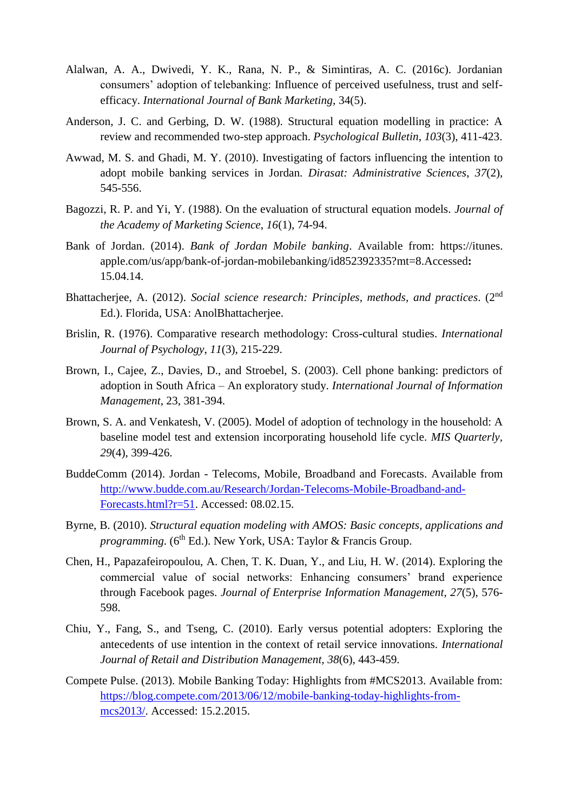- Alalwan, A. A., Dwivedi, Y. K., Rana, N. P., & Simintiras, A. C. (2016c). Jordanian consumers' adoption of telebanking: Influence of perceived usefulness, trust and selfefficacy. *International Journal of Bank Marketing*, 34(5).
- Anderson, J. C. and Gerbing, D. W. (1988). Structural equation modelling in practice: A review and recommended two-step approach. *Psychological Bulletin*, *103*(3), 411-423.
- Awwad, M. S. and Ghadi, M. Y. (2010). Investigating of factors influencing the intention to adopt mobile banking services in Jordan. *Dirasat: Administrative Sciences*, *37*(2), 545-556.
- Bagozzi, R. P. and Yi, Y. (1988). On the evaluation of structural equation models*. Journal of the Academy of Marketing Science*, *16*(1), 74-94.
- Bank of Jordan. (2014). *Bank of Jordan Mobile banking*. Available from: https://itunes. apple.com/us/app/bank-of-jordan-mobilebanking/id852392335?mt=8.Accessed**:**  15.04.14.
- Bhattacherjee, A. (2012). *Social science research: Principles, methods, and practices*. (2nd Ed.). Florida, USA: AnolBhattacherjee.
- Brislin, R. (1976). Comparative research methodology: Cross-cultural studies. *International Journal of Psychology*, *11*(3), 215-229.
- Brown, I., Cajee, Z., Davies, D., and Stroebel, S. (2003). Cell phone banking: predictors of adoption in South Africa – An exploratory study. *International Journal of Information Management*, 23, 381-394.
- Brown, S. A. and Venkatesh, V. (2005). Model of adoption of technology in the household: A baseline model test and extension incorporating household life cycle. *MIS Quarterly, 29*(4), 399-426.
- BuddeComm (2014). Jordan Telecoms, Mobile, Broadband and Forecasts. Available from http://www.budde.com.au/Research/Jordan-Telecoms-Mobile-Broadband-and-Forecasts.html?r=51. Accessed: 08.02.15.
- Byrne, B. (2010). *Structural equation modeling with AMOS: Basic concepts, applications and programming*. (6<sup>th</sup> Ed.). New York, USA: Taylor & Francis Group.
- Chen, H., Papazafeiropoulou, A. Chen, T. K. Duan, Y., and Liu, H. W. (2014). Exploring the commercial value of social networks: Enhancing consumers' brand experience through Facebook pages. *Journal of Enterprise Information Management*, *27*(5), 576- 598.
- Chiu, Y., Fang, S., and Tseng, C. (2010). Early versus potential adopters: Exploring the antecedents of use intention in the context of retail service innovations. *International Journal of Retail and Distribution Management, 38*(6), 443-459.
- Compete Pulse. (2013). Mobile Banking Today: Highlights from #MCS2013. Available from: https://blog.compete.com/2013/06/12/mobile-banking-today-highlights-frommcs2013/. Accessed: 15.2.2015.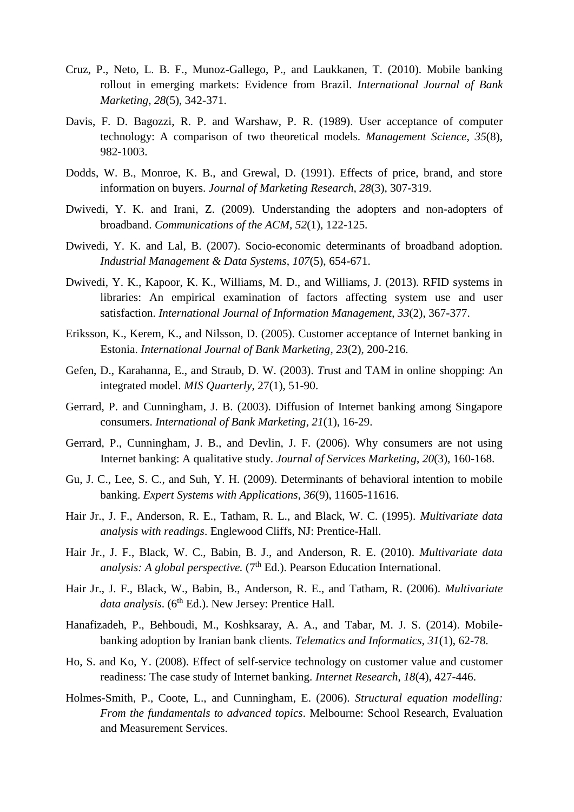- Cruz, P., Neto, L. B. F., Munoz-Gallego, P., and Laukkanen, T. (2010). Mobile banking rollout in emerging markets: Evidence from Brazil. *International Journal of Bank Marketing*, *28*(5), 342-371.
- Davis, F. D. Bagozzi, R. P. and Warshaw, P. R. (1989). User acceptance of computer technology: A comparison of two theoretical models. *Management Science*, *35*(8), 982-1003.
- Dodds, W. B., Monroe, K. B., and Grewal, D. (1991). Effects of price, brand, and store information on buyers. *Journal of Marketing Research, 28*(3), 307-319.
- Dwivedi, Y. K. and Irani, Z. (2009). Understanding the adopters and non-adopters of broadband. *Communications of the ACM, 52*(1), 122-125.
- Dwivedi, Y. K. and Lal, B. (2007). Socio-economic determinants of broadband adoption. *Industrial Management & Data Systems*, *107*(5), 654-671.
- Dwivedi, Y. K., Kapoor, K. K., Williams, M. D., and Williams, J. (2013). RFID systems in libraries: An empirical examination of factors affecting system use and user satisfaction. *International Journal of Information Management*, *33*(2), 367-377.
- Eriksson, K., Kerem, K., and Nilsson, D. (2005). Customer acceptance of Internet banking in Estonia. *International Journal of Bank Marketing*, *23*(2), 200-216.
- Gefen, D., Karahanna, E., and Straub, D. W. (2003). *T*rust and TAM in online shopping: An integrated model. *MIS Quarterly*, 27(1), 51-90.
- Gerrard, P. and Cunningham, J. B. (2003). Diffusion of Internet banking among Singapore consumers. *International of Bank Marketing*, *21*(1), 16-29.
- Gerrard, P., Cunningham, J. B., and Devlin, J. F. (2006). Why consumers are not using Internet banking: A qualitative study. *Journal of Services Marketing*, *20*(3), 160-168.
- Gu, J. C., Lee, S. C., and Suh, Y. H. (2009). Determinants of behavioral intention to mobile banking. *Expert Systems with Applications*, *36*(9), 11605-11616.
- Hair Jr., J. F., Anderson, R. E., Tatham, R. L., and Black, W. C. (1995). *Multivariate data analysis with readings*. Englewood Cliffs, NJ: Prentice-Hall.
- Hair Jr., J. F., Black, W. C., Babin, B. J., and Anderson, R. E. (2010). *Multivariate data analysis: A global perspective.* (7<sup>th</sup> Ed.). Pearson Education International.
- Hair Jr., J. F., Black, W., Babin, B., Anderson, R. E., and Tatham, R. (2006). *Multivariate*  data analysis. (6<sup>th</sup> Ed.). New Jersey: Prentice Hall.
- Hanafizadeh, P., Behboudi, M., Koshksaray, A. A., and Tabar, M. J. S. (2014). Mobilebanking adoption by Iranian bank clients. *Telematics and Informatics*, *31*(1), 62-78.
- Ho, S. and Ko, Y. (2008). Effect of self-service technology on customer value and customer readiness: The case study of Internet banking. *Internet Research*, *18*(4), 427-446.
- Holmes-Smith, P., Coote, L., and Cunningham, E. (2006). *Structural equation modelling: From the fundamentals to advanced topics*. Melbourne: School Research, Evaluation and Measurement Services.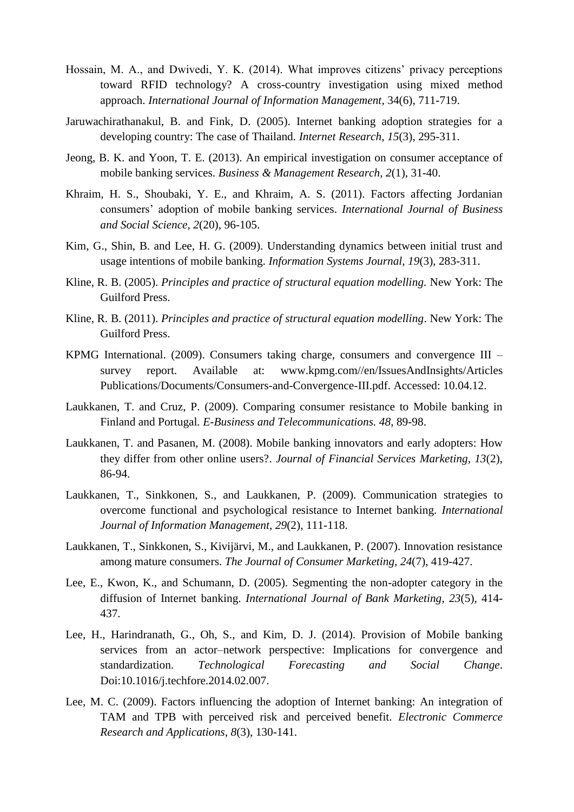- Hossain, M. A., and Dwivedi, Y. K. (2014). What improves citizens' privacy perceptions toward RFID technology? A cross-country investigation using mixed method approach. *International Journal of Information Management*, 34(6), 711-719.
- Jaruwachirathanakul, B. and Fink, D. (2005). Internet banking adoption strategies for a developing country: The case of Thailand*. Internet Research*, *15*(3), 295-311.
- Jeong, B. K. and Yoon, T. E. (2013). An empirical investigation on consumer acceptance of mobile banking services. *Business & Management Research*, *2*(1), 31-40.
- Khraim, H. S., Shoubaki, Y. E., and Khraim, A. S. (2011). Factors affecting Jordanian consumers' adoption of mobile banking services. *International Journal of Business and Social Science*, *2*(20), 96-105.
- Kim, G., Shin, B. and Lee, H. G. (2009). Understanding dynamics between initial trust and usage intentions of mobile banking. *Information Systems Journal*, *19*(3), 283-311.
- Kline, R. B. (2005). *Principles and practice of structural equation modelling.* New York: The Guilford Press.
- Kline, R. B. (2011). *Principles and practice of structural equation modelling*. New York: The Guilford Press.
- KPMG International. (2009). Consumers taking charge, consumers and convergence III survey report. Available at: www.kpmg.com//en/IssuesAndInsights/Articles Publications/Documents/Consumers-and-Convergence-III.pdf. Accessed: 10.04.12.
- Laukkanen, T. and Cruz, P. (2009). Comparing consumer resistance to Mobile banking in Finland and Portugal*. E-Business and Telecommunications. 48*, 89-98.
- Laukkanen, T. and Pasanen, M. (2008). Mobile banking innovators and early adopters: How they differ from other online users?. *Journal of Financial Services Marketing, 13*(2), 86-94.
- Laukkanen, T., Sinkkonen, S., and Laukkanen, P. (2009). Communication strategies to overcome functional and psychological resistance to Internet banking. *International Journal of Information Management*, *29*(2), 111-118.
- Laukkanen, T., Sinkkonen, S., Kivijärvi, M., and Laukkanen, P. (2007). Innovation resistance among mature consumers. *The Journal of Consumer Marketing, 24*(7), 419-427.
- Lee, E., Kwon, K., and Schumann, D. (2005). Segmenting the non-adopter category in the diffusion of Internet banking. *International Journal of Bank Marketing*, *23*(5), 414- 437.
- Lee, H., Harindranath, G., Oh, S., and Kim, D. J. (2014). Provision of Mobile banking services from an actor–network perspective: Implications for convergence and standardization. *Technological Forecasting and Social Change*. Doi:10.1016/j.techfore.2014.02.007.
- Lee, M. C. (2009). Factors influencing the adoption of Internet banking: An integration of TAM and TPB with perceived risk and perceived benefit. *Electronic Commerce Research and Applications*, *8*(3), 130-141.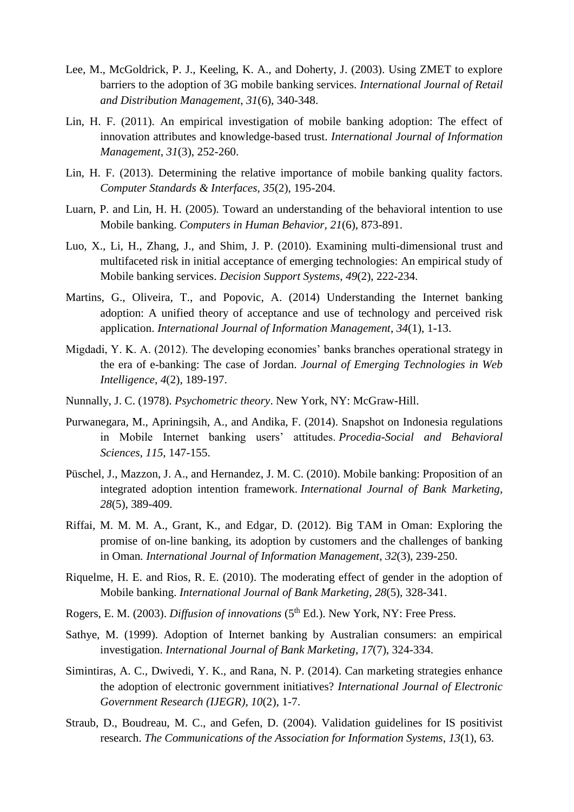- Lee, M., McGoldrick, P. J., Keeling, K. A., and Doherty, J. (2003). Using ZMET to explore barriers to the adoption of 3G mobile banking services. *International Journal of Retail and Distribution Management*, *31*(6), 340-348.
- Lin, H. F. (2011). An empirical investigation of mobile banking adoption: The effect of innovation attributes and knowledge-based trust. *International Journal of Information Management*, *31*(3), 252-260.
- Lin, H. F. (2013). Determining the relative importance of mobile banking quality factors. *Computer Standards & Interfaces, 35*(2), 195-204.
- Luarn, P. and Lin, H. H. (2005). Toward an understanding of the behavioral intention to use Mobile banking. *Computers in Human Behavior, 21*(6), 873-891.
- Luo, X., Li, H., Zhang, J., and Shim, J. P. (2010). Examining multi-dimensional trust and multifaceted risk in initial acceptance of emerging technologies: An empirical study of Mobile banking services. *Decision Support Systems*, *49*(2), 222-234.
- Martins, G., Oliveira, T., and Popovic, A. (2014) Understanding the Internet banking adoption: A unified theory of acceptance and use of technology and perceived risk application. *International Journal of Information Management*, *34*(1), 1-13.
- Migdadi, Y. K. A. (2012). The developing economies' banks branches operational strategy in the era of e-banking: The case of Jordan. *Journal of Emerging Technologies in Web Intelligence*, *4*(2), 189-197.
- Nunnally, J. C. (1978). *Psychometric theory*. New York, NY: McGraw-Hill.
- Purwanegara, M., Apriningsih, A., and Andika, F. (2014). Snapshot on Indonesia regulations in Mobile Internet banking users' attitudes. *Procedia-Social and Behavioral Sciences*, *115*, 147-155.
- Püschel, J., Mazzon, J. A., and Hernandez, J. M. C. (2010). Mobile banking: Proposition of an integrated adoption intention framework. *International Journal of Bank Marketing*, *28*(5), 389-409.
- Riffai, M. M. M. A., Grant, K., and Edgar, D. (2012). Big TAM in Oman: Exploring the promise of on-line banking, its adoption by customers and the challenges of banking in Oman*. International Journal of Information Management*, *32*(3), 239-250.
- Riquelme, H. E. and Rios, R. E. (2010). The moderating effect of gender in the adoption of Mobile banking. *International Journal of Bank Marketing*, *28*(5), 328-341.
- Rogers, E. M. (2003). *Diffusion of innovations* (5<sup>th</sup> Ed.). New York, NY: Free Press.
- Sathye, M. (1999). Adoption of Internet banking by Australian consumers: an empirical investigation. *International Journal of Bank Marketing*, *17*(7), 324-334.
- Simintiras, A. C., Dwivedi, Y. K., and Rana, N. P. (2014). Can marketing strategies enhance the adoption of electronic government initiatives? *International Journal of Electronic Government Research (IJEGR)*, *10*(2), 1-7.
- Straub, D., Boudreau, M. C., and Gefen, D. (2004). Validation guidelines for IS positivist research. *The Communications of the Association for Information Systems*, *13*(1), 63.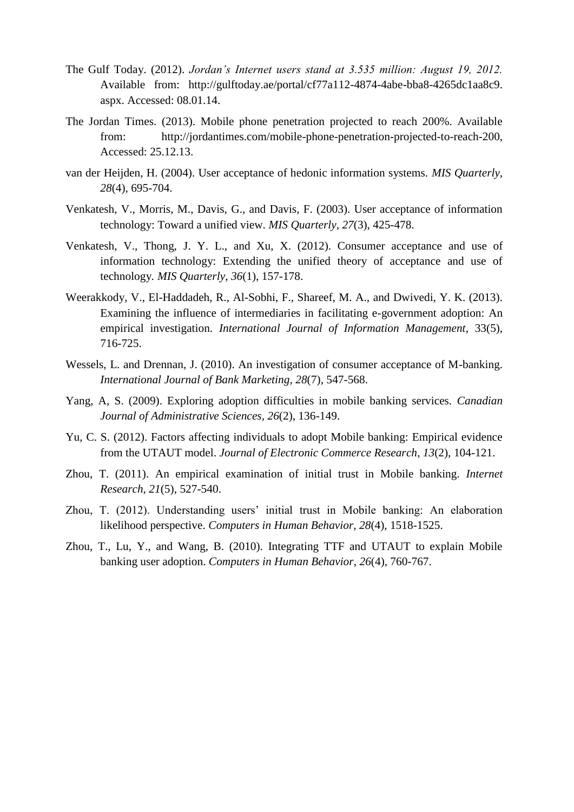- The Gulf Today. (2012). *Jordan's Internet users stand at 3.535 million: August 19, 2012.* Available from: http://gulftoday.ae/portal/cf77a112-4874-4abe-bba8-4265dc1aa8c9. aspx. Accessed: 08.01.14.
- The Jordan Times. (2013). Mobile phone penetration projected to reach 200%. Available from: http://jordantimes.com/mobile-phone-penetration-projected-to-reach-200, Accessed: 25.12.13.
- van der Heijden, H. (2004). User acceptance of hedonic information systems. *MIS Quarterly*, *28*(4), 695-704.
- Venkatesh, V., Morris, M., Davis, G., and Davis, F. (2003). User acceptance of information technology: Toward a unified view. *MIS Quarterly*, *27*(3), 425-478.
- Venkatesh, V., Thong, J. Y. L., and Xu, X. (2012). Consumer acceptance and use of information technology: Extending the unified theory of acceptance and use of technology*. MIS Quarterly*, *36*(1), 157-178.
- Weerakkody, V., El-Haddadeh, R., Al-Sobhi, F., Shareef, M. A., and Dwivedi, Y. K. (2013). Examining the influence of intermediaries in facilitating e-government adoption: An empirical investigation. *International Journal of Information Management*, 33(5), 716-725.
- Wessels, L. and Drennan, J. (2010). An investigation of consumer acceptance of M-banking. *International Journal of Bank Marketing, 28*(7), 547-568.
- Yang, A, S. (2009). Exploring adoption difficulties in mobile banking services. *Canadian Journal of Administrative Sciences, 26*(2), 136-149.
- Yu, C. S. (2012). Factors affecting individuals to adopt Mobile banking: Empirical evidence from the UTAUT model. *Journal of Electronic Commerce Research*, *13*(2), 104-121.
- Zhou, T. (2011). An empirical examination of initial trust in Mobile banking. *Internet Research*, *21*(5), 527-540.
- Zhou, T. (2012). Understanding users' initial trust in Mobile banking: An elaboration likelihood perspective. *Computers in Human Behavior*, *28*(4), 1518-1525.
- Zhou, T., Lu, Y., and Wang, B. (2010). Integrating TTF and UTAUT to explain Mobile banking user adoption. *Computers in Human Behavior*, *26*(4), 760-767.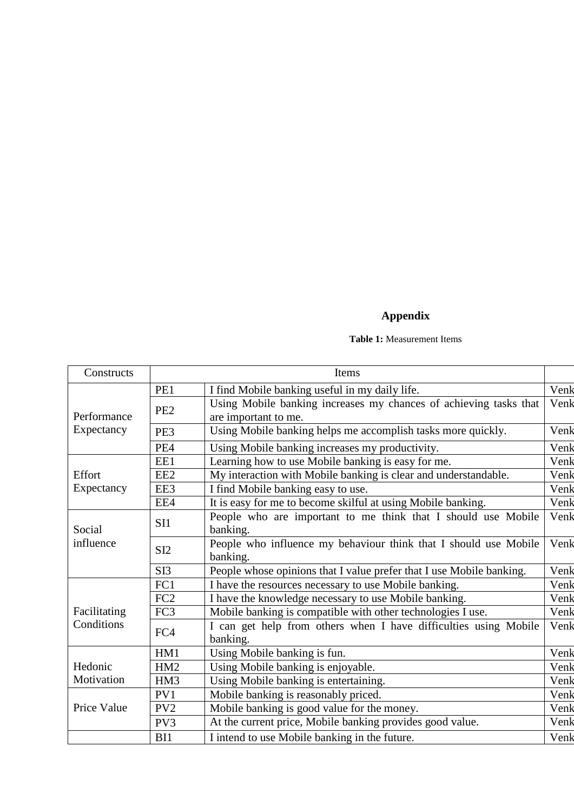# **Appendix**

### **Table 1:** Measurement Items

| Constructs   |                 | Items                                                                                     |      |
|--------------|-----------------|-------------------------------------------------------------------------------------------|------|
|              | PE1             | I find Mobile banking useful in my daily life.                                            | Venk |
| Performance  | PE <sub>2</sub> | Using Mobile banking increases my chances of achieving tasks that<br>are important to me. | Venk |
| Expectancy   | PE3             | Using Mobile banking helps me accomplish tasks more quickly.                              | Venk |
|              | PE4             | Using Mobile banking increases my productivity.                                           | Venk |
|              | EE1             | Learning how to use Mobile banking is easy for me.                                        | Venk |
| Effort       | EE <sub>2</sub> | My interaction with Mobile banking is clear and understandable.                           | Venk |
| Expectancy   | EE3             | I find Mobile banking easy to use.                                                        | Venk |
|              | EE4             | It is easy for me to become skilful at using Mobile banking.                              | Venk |
| Social       | SI1             | People who are important to me think that I should use Mobile<br>banking.                 | Venk |
| influence    | SI <sub>2</sub> | People who influence my behaviour think that I should use Mobile<br>banking.              | Venk |
|              | SI <sub>3</sub> | People whose opinions that I value prefer that I use Mobile banking.                      | Venk |
|              | FC1             | I have the resources necessary to use Mobile banking.                                     | Venk |
|              | FC <sub>2</sub> | I have the knowledge necessary to use Mobile banking.                                     | Venk |
| Facilitating | FC3             | Mobile banking is compatible with other technologies I use.                               | Venk |
| Conditions   | FC4             | I can get help from others when I have difficulties using Mobile<br>banking.              | Venk |
|              | HM1             | Using Mobile banking is fun.                                                              | Venk |
| Hedonic      | HM2             | Using Mobile banking is enjoyable.                                                        | Venk |
| Motivation   | HM3             | Using Mobile banking is entertaining.                                                     | Venk |
|              | PV1             | Mobile banking is reasonably priced.                                                      | Venk |
| Price Value  | PV <sub>2</sub> | Mobile banking is good value for the money.                                               | Venk |
|              | PV3             | At the current price, Mobile banking provides good value.                                 | Venk |
|              | B <sub>11</sub> | I intend to use Mobile banking in the future.                                             | Venk |